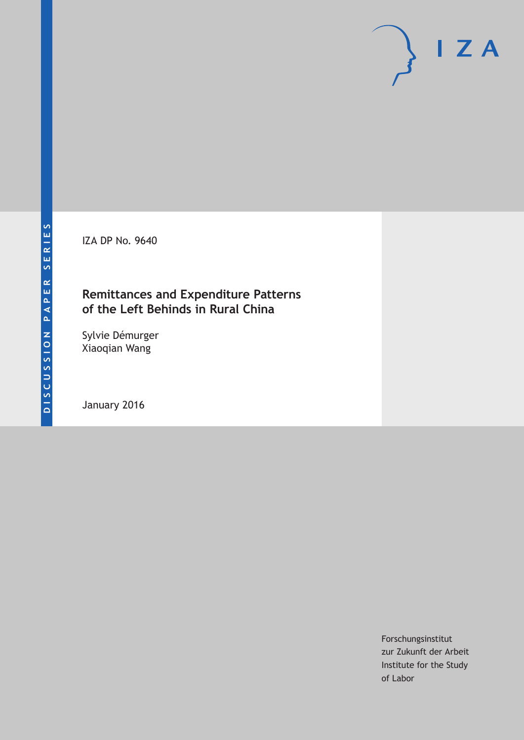IZA DP No. 9640

### **Remittances and Expenditure Patterns of the Left Behinds in Rural China**

Sylvie Démurger Xiaoqian Wang

January 2016

Forschungsinstitut zur Zukunft der Arbeit Institute for the Study of Labor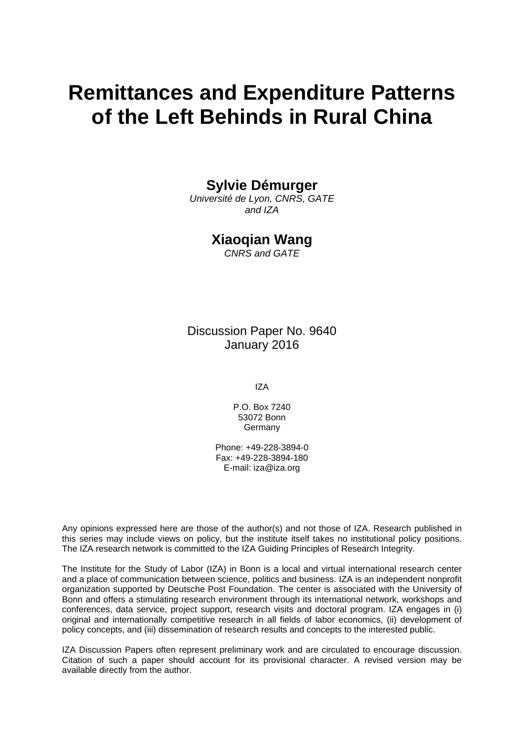# **Remittances and Expenditure Patterns of the Left Behinds in Rural China**

# **Sylvie Démurger**

*Université de Lyon, CNRS, GATE and IZA* 

### **Xiaoqian Wang**

*CNRS and GATE* 

Discussion Paper No. 9640 January 2016

IZA

P.O. Box 7240 53072 Bonn **Germany** 

Phone: +49-228-3894-0 Fax: +49-228-3894-180 E-mail: iza@iza.org

Any opinions expressed here are those of the author(s) and not those of IZA. Research published in this series may include views on policy, but the institute itself takes no institutional policy positions. The IZA research network is committed to the IZA Guiding Principles of Research Integrity.

The Institute for the Study of Labor (IZA) in Bonn is a local and virtual international research center and a place of communication between science, politics and business. IZA is an independent nonprofit organization supported by Deutsche Post Foundation. The center is associated with the University of Bonn and offers a stimulating research environment through its international network, workshops and conferences, data service, project support, research visits and doctoral program. IZA engages in (i) original and internationally competitive research in all fields of labor economics, (ii) development of policy concepts, and (iii) dissemination of research results and concepts to the interested public.

IZA Discussion Papers often represent preliminary work and are circulated to encourage discussion. Citation of such a paper should account for its provisional character. A revised version may be available directly from the author.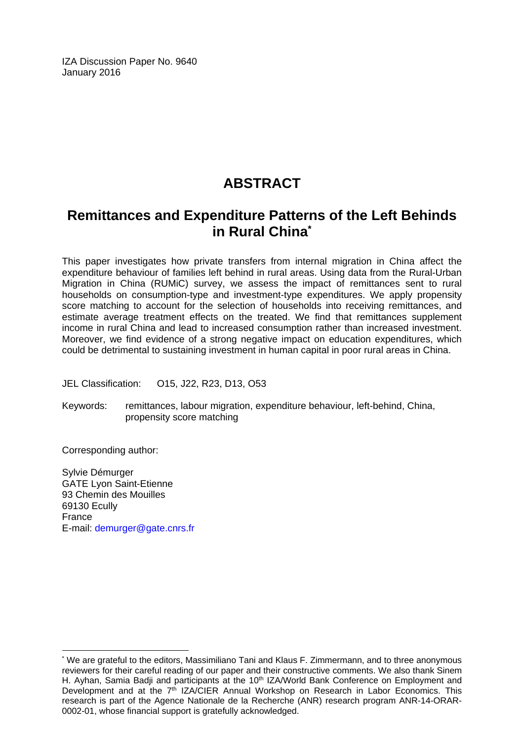IZA Discussion Paper No. 9640 January 2016

# **ABSTRACT**

# **Remittances and Expenditure Patterns of the Left Behinds in Rural China\***

This paper investigates how private transfers from internal migration in China affect the expenditure behaviour of families left behind in rural areas. Using data from the Rural-Urban Migration in China (RUMiC) survey, we assess the impact of remittances sent to rural households on consumption-type and investment-type expenditures. We apply propensity score matching to account for the selection of households into receiving remittances, and estimate average treatment effects on the treated. We find that remittances supplement income in rural China and lead to increased consumption rather than increased investment. Moreover, we find evidence of a strong negative impact on education expenditures, which could be detrimental to sustaining investment in human capital in poor rural areas in China.

JEL Classification: O15, J22, R23, D13, O53

Keywords: remittances, labour migration, expenditure behaviour, left-behind, China, propensity score matching

Corresponding author:

 $\overline{\phantom{a}}$ 

Sylvie Démurger GATE Lyon Saint-Etienne 93 Chemin des Mouilles 69130 Ecully France E-mail: demurger@gate.cnrs.fr

<sup>\*</sup> We are grateful to the editors, Massimiliano Tani and Klaus F. Zimmermann, and to three anonymous reviewers for their careful reading of our paper and their constructive comments. We also thank Sinem H. Ayhan, Samia Badji and participants at the 10<sup>th</sup> IZA/World Bank Conference on Employment and Development and at the 7<sup>th</sup> IZA/CIER Annual Workshop on Research in Labor Economics. This research is part of the Agence Nationale de la Recherche (ANR) research program ANR-14-ORAR-0002-01, whose financial support is gratefully acknowledged.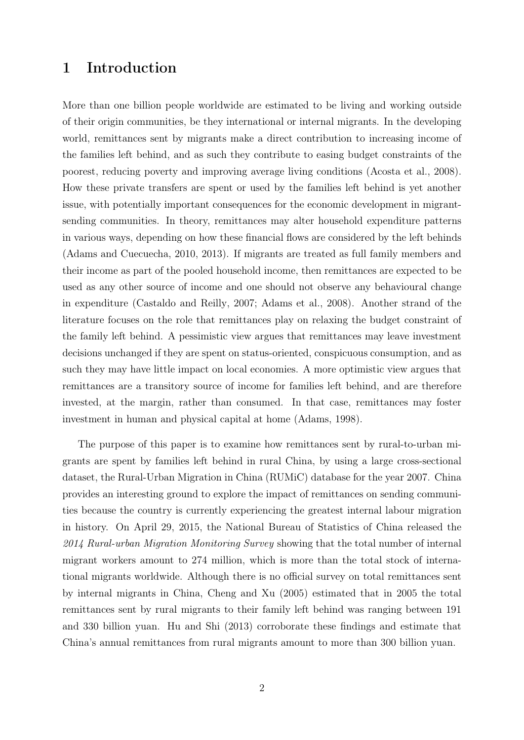# 1 Introduction

More than one billion people worldwide are estimated to be living and working outside of their origin communities, be they international or internal migrants. In the developing world, remittances sent by migrants make a direct contribution to increasing income of the families left behind, and as such they contribute to easing budget constraints of the poorest, reducing poverty and improving average living conditions (Acosta et al., 2008). How these private transfers are spent or used by the families left behind is yet another issue, with potentially important consequences for the economic development in migrantsending communities. In theory, remittances may alter household expenditure patterns in various ways, depending on how these financial flows are considered by the left behinds (Adams and Cuecuecha, 2010, 2013). If migrants are treated as full family members and their income as part of the pooled household income, then remittances are expected to be used as any other source of income and one should not observe any behavioural change in expenditure (Castaldo and Reilly, 2007; Adams et al., 2008). Another strand of the literature focuses on the role that remittances play on relaxing the budget constraint of the family left behind. A pessimistic view argues that remittances may leave investment decisions unchanged if they are spent on status-oriented, conspicuous consumption, and as such they may have little impact on local economies. A more optimistic view argues that remittances are a transitory source of income for families left behind, and are therefore invested, at the margin, rather than consumed. In that case, remittances may foster investment in human and physical capital at home (Adams, 1998).

The purpose of this paper is to examine how remittances sent by rural-to-urban migrants are spent by families left behind in rural China, by using a large cross-sectional dataset, the Rural-Urban Migration in China (RUMiC) database for the year 2007. China provides an interesting ground to explore the impact of remittances on sending communities because the country is currently experiencing the greatest internal labour migration in history. On April 29, 2015, the National Bureau of Statistics of China released the 2014 Rural-urban Migration Monitoring Survey showing that the total number of internal migrant workers amount to 274 million, which is more than the total stock of international migrants worldwide. Although there is no official survey on total remittances sent by internal migrants in China, Cheng and Xu (2005) estimated that in 2005 the total remittances sent by rural migrants to their family left behind was ranging between 191 and 330 billion yuan. Hu and Shi (2013) corroborate these findings and estimate that China's annual remittances from rural migrants amount to more than 300 billion yuan.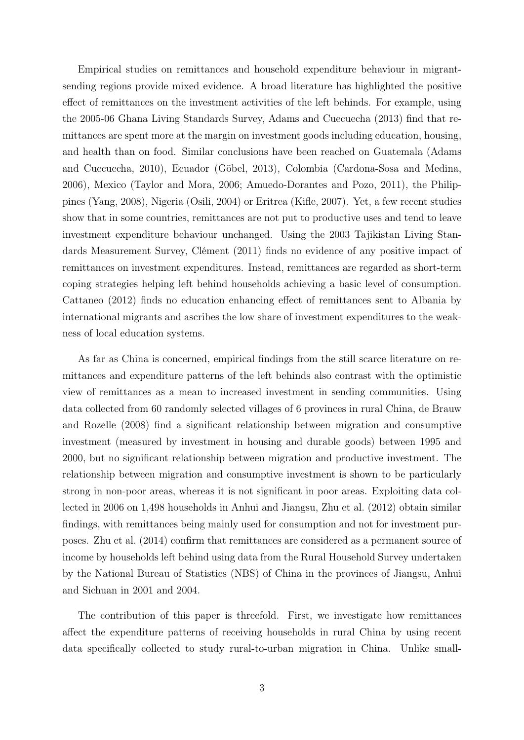Empirical studies on remittances and household expenditure behaviour in migrantsending regions provide mixed evidence. A broad literature has highlighted the positive effect of remittances on the investment activities of the left behinds. For example, using the 2005-06 Ghana Living Standards Survey, Adams and Cuecuecha (2013) find that remittances are spent more at the margin on investment goods including education, housing, and health than on food. Similar conclusions have been reached on Guatemala (Adams and Cuecuecha, 2010), Ecuador (Göbel, 2013), Colombia (Cardona-Sosa and Medina, 2006), Mexico (Taylor and Mora, 2006; Amuedo-Dorantes and Pozo, 2011), the Philippines (Yang, 2008), Nigeria (Osili, 2004) or Eritrea (Kifle, 2007). Yet, a few recent studies show that in some countries, remittances are not put to productive uses and tend to leave investment expenditure behaviour unchanged. Using the 2003 Tajikistan Living Standards Measurement Survey, Clément (2011) finds no evidence of any positive impact of remittances on investment expenditures. Instead, remittances are regarded as short-term coping strategies helping left behind households achieving a basic level of consumption. Cattaneo (2012) finds no education enhancing effect of remittances sent to Albania by international migrants and ascribes the low share of investment expenditures to the weakness of local education systems.

As far as China is concerned, empirical findings from the still scarce literature on remittances and expenditure patterns of the left behinds also contrast with the optimistic view of remittances as a mean to increased investment in sending communities. Using data collected from 60 randomly selected villages of 6 provinces in rural China, de Brauw and Rozelle (2008) find a significant relationship between migration and consumptive investment (measured by investment in housing and durable goods) between 1995 and 2000, but no significant relationship between migration and productive investment. The relationship between migration and consumptive investment is shown to be particularly strong in non-poor areas, whereas it is not significant in poor areas. Exploiting data collected in 2006 on 1,498 households in Anhui and Jiangsu, Zhu et al. (2012) obtain similar findings, with remittances being mainly used for consumption and not for investment purposes. Zhu et al. (2014) confirm that remittances are considered as a permanent source of income by households left behind using data from the Rural Household Survey undertaken by the National Bureau of Statistics (NBS) of China in the provinces of Jiangsu, Anhui and Sichuan in 2001 and 2004.

The contribution of this paper is threefold. First, we investigate how remittances affect the expenditure patterns of receiving households in rural China by using recent data specifically collected to study rural-to-urban migration in China. Unlike small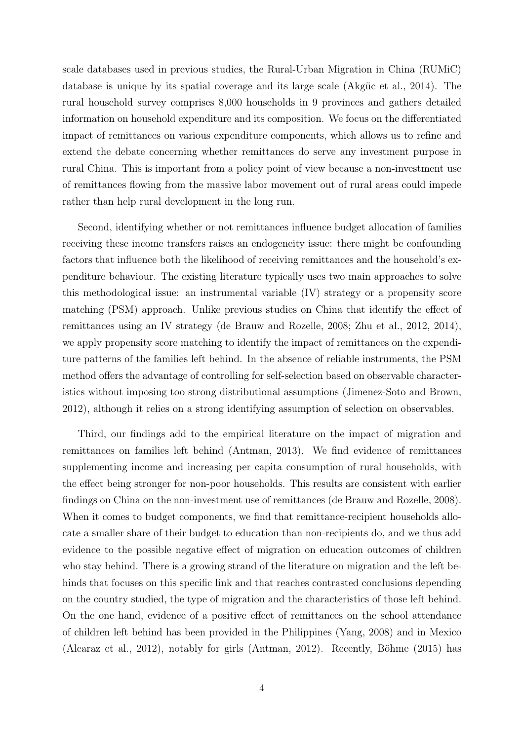scale databases used in previous studies, the Rural-Urban Migration in China (RUMiC) database is unique by its spatial coverage and its large scale (Akgüc et al., 2014). The rural household survey comprises 8,000 households in 9 provinces and gathers detailed information on household expenditure and its composition. We focus on the differentiated impact of remittances on various expenditure components, which allows us to refine and extend the debate concerning whether remittances do serve any investment purpose in rural China. This is important from a policy point of view because a non-investment use of remittances flowing from the massive labor movement out of rural areas could impede rather than help rural development in the long run.

Second, identifying whether or not remittances influence budget allocation of families receiving these income transfers raises an endogeneity issue: there might be confounding factors that influence both the likelihood of receiving remittances and the household's expenditure behaviour. The existing literature typically uses two main approaches to solve this methodological issue: an instrumental variable (IV) strategy or a propensity score matching (PSM) approach. Unlike previous studies on China that identify the effect of remittances using an IV strategy (de Brauw and Rozelle, 2008; Zhu et al., 2012, 2014), we apply propensity score matching to identify the impact of remittances on the expenditure patterns of the families left behind. In the absence of reliable instruments, the PSM method offers the advantage of controlling for self-selection based on observable characteristics without imposing too strong distributional assumptions (Jimenez-Soto and Brown, 2012), although it relies on a strong identifying assumption of selection on observables.

Third, our findings add to the empirical literature on the impact of migration and remittances on families left behind (Antman, 2013). We find evidence of remittances supplementing income and increasing per capita consumption of rural households, with the effect being stronger for non-poor households. This results are consistent with earlier findings on China on the non-investment use of remittances (de Brauw and Rozelle, 2008). When it comes to budget components, we find that remittance-recipient households allocate a smaller share of their budget to education than non-recipients do, and we thus add evidence to the possible negative effect of migration on education outcomes of children who stay behind. There is a growing strand of the literature on migration and the left behinds that focuses on this specific link and that reaches contrasted conclusions depending on the country studied, the type of migration and the characteristics of those left behind. On the one hand, evidence of a positive effect of remittances on the school attendance of children left behind has been provided in the Philippines (Yang, 2008) and in Mexico (Alcaraz et al., 2012), notably for girls (Antman, 2012). Recently, Böhme (2015) has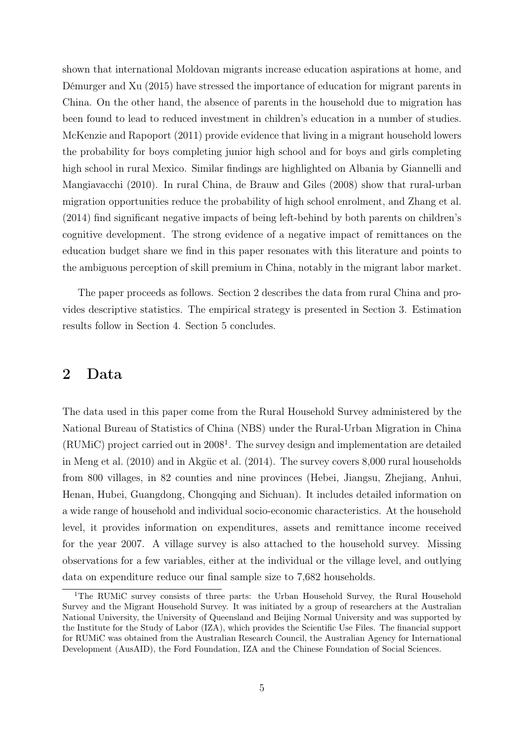shown that international Moldovan migrants increase education aspirations at home, and Démurger and Xu (2015) have stressed the importance of education for migrant parents in China. On the other hand, the absence of parents in the household due to migration has been found to lead to reduced investment in children's education in a number of studies. McKenzie and Rapoport (2011) provide evidence that living in a migrant household lowers the probability for boys completing junior high school and for boys and girls completing high school in rural Mexico. Similar findings are highlighted on Albania by Giannelli and Mangiavacchi (2010). In rural China, de Brauw and Giles (2008) show that rural-urban migration opportunities reduce the probability of high school enrolment, and Zhang et al. (2014) find significant negative impacts of being left-behind by both parents on children's cognitive development. The strong evidence of a negative impact of remittances on the education budget share we find in this paper resonates with this literature and points to the ambiguous perception of skill premium in China, notably in the migrant labor market.

The paper proceeds as follows. Section 2 describes the data from rural China and provides descriptive statistics. The empirical strategy is presented in Section 3. Estimation results follow in Section 4. Section 5 concludes.

### 2 Data

The data used in this paper come from the Rural Household Survey administered by the National Bureau of Statistics of China (NBS) under the Rural-Urban Migration in China (RUMiC) project carried out in 2008<sup>1</sup>. The survey design and implementation are detailed in Meng et al. (2010) and in Akgüc et al. (2014). The survey covers 8,000 rural households from 800 villages, in 82 counties and nine provinces (Hebei, Jiangsu, Zhejiang, Anhui, Henan, Hubei, Guangdong, Chongqing and Sichuan). It includes detailed information on a wide range of household and individual socio-economic characteristics. At the household level, it provides information on expenditures, assets and remittance income received for the year 2007. A village survey is also attached to the household survey. Missing observations for a few variables, either at the individual or the village level, and outlying data on expenditure reduce our final sample size to 7,682 households.

<sup>&</sup>lt;sup>1</sup>The RUMiC survey consists of three parts: the Urban Household Survey, the Rural Household Survey and the Migrant Household Survey. It was initiated by a group of researchers at the Australian National University, the University of Queensland and Beijing Normal University and was supported by the Institute for the Study of Labor (IZA), which provides the Scientific Use Files. The financial support for RUMiC was obtained from the Australian Research Council, the Australian Agency for International Development (AusAID), the Ford Foundation, IZA and the Chinese Foundation of Social Sciences.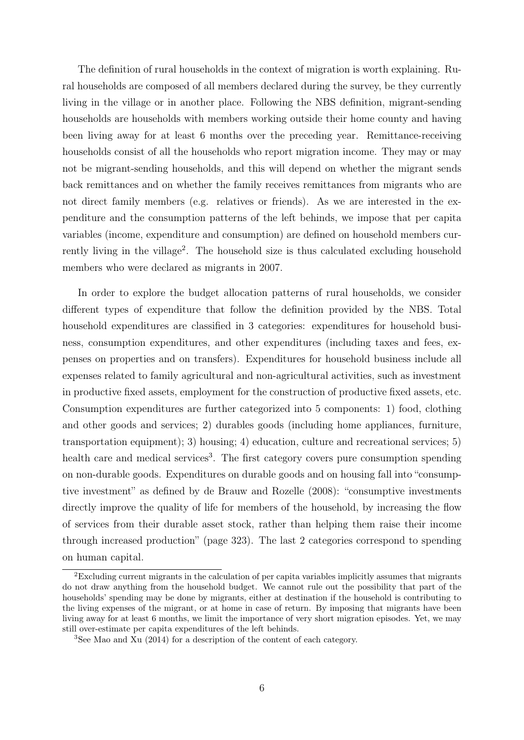The definition of rural households in the context of migration is worth explaining. Rural households are composed of all members declared during the survey, be they currently living in the village or in another place. Following the NBS definition, migrant-sending households are households with members working outside their home county and having been living away for at least 6 months over the preceding year. Remittance-receiving households consist of all the households who report migration income. They may or may not be migrant-sending households, and this will depend on whether the migrant sends back remittances and on whether the family receives remittances from migrants who are not direct family members (e.g. relatives or friends). As we are interested in the expenditure and the consumption patterns of the left behinds, we impose that per capita variables (income, expenditure and consumption) are defined on household members currently living in the village<sup>2</sup>. The household size is thus calculated excluding household members who were declared as migrants in 2007.

In order to explore the budget allocation patterns of rural households, we consider different types of expenditure that follow the definition provided by the NBS. Total household expenditures are classified in 3 categories: expenditures for household business, consumption expenditures, and other expenditures (including taxes and fees, expenses on properties and on transfers). Expenditures for household business include all expenses related to family agricultural and non-agricultural activities, such as investment in productive fixed assets, employment for the construction of productive fixed assets, etc. Consumption expenditures are further categorized into 5 components: 1) food, clothing and other goods and services; 2) durables goods (including home appliances, furniture, transportation equipment); 3) housing; 4) education, culture and recreational services; 5) health care and medical services<sup>3</sup>. The first category covers pure consumption spending on non-durable goods. Expenditures on durable goods and on housing fall into "consumptive investment" as defined by de Brauw and Rozelle (2008): "consumptive investments directly improve the quality of life for members of the household, by increasing the flow of services from their durable asset stock, rather than helping them raise their income through increased production" (page 323). The last 2 categories correspond to spending on human capital.

<sup>2</sup>Excluding current migrants in the calculation of per capita variables implicitly assumes that migrants do not draw anything from the household budget. We cannot rule out the possibility that part of the households' spending may be done by migrants, either at destination if the household is contributing to the living expenses of the migrant, or at home in case of return. By imposing that migrants have been living away for at least 6 months, we limit the importance of very short migration episodes. Yet, we may still over-estimate per capita expenditures of the left behinds.

<sup>3</sup>See Mao and Xu (2014) for a description of the content of each category.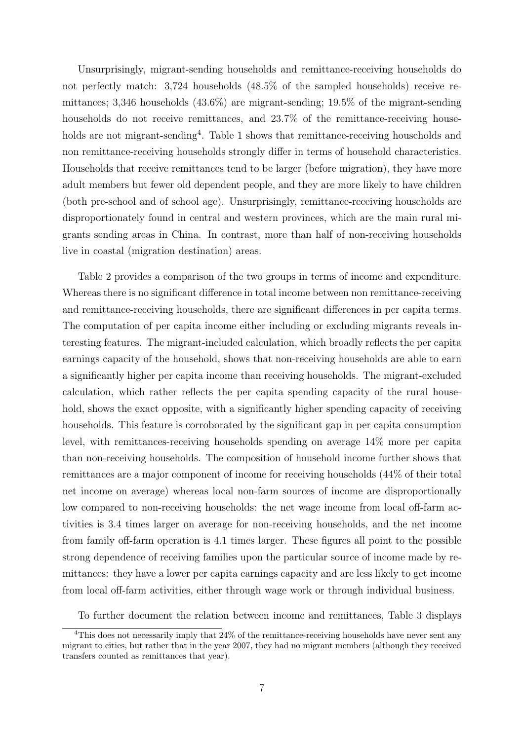Unsurprisingly, migrant-sending households and remittance-receiving households do not perfectly match: 3,724 households (48.5% of the sampled households) receive remittances; 3,346 households (43.6%) are migrant-sending; 19.5% of the migrant-sending households do not receive remittances, and  $23.7\%$  of the remittance-receiving households are not migrant-sending<sup>4</sup>. Table 1 shows that remittance-receiving households and non remittance-receiving households strongly differ in terms of household characteristics. Households that receive remittances tend to be larger (before migration), they have more adult members but fewer old dependent people, and they are more likely to have children (both pre-school and of school age). Unsurprisingly, remittance-receiving households are disproportionately found in central and western provinces, which are the main rural migrants sending areas in China. In contrast, more than half of non-receiving households live in coastal (migration destination) areas.

Table 2 provides a comparison of the two groups in terms of income and expenditure. Whereas there is no significant difference in total income between non remittance-receiving and remittance-receiving households, there are significant differences in per capita terms. The computation of per capita income either including or excluding migrants reveals interesting features. The migrant-included calculation, which broadly reflects the per capita earnings capacity of the household, shows that non-receiving households are able to earn a significantly higher per capita income than receiving households. The migrant-excluded calculation, which rather reflects the per capita spending capacity of the rural household, shows the exact opposite, with a significantly higher spending capacity of receiving households. This feature is corroborated by the significant gap in per capita consumption level, with remittances-receiving households spending on average 14% more per capita than non-receiving households. The composition of household income further shows that remittances are a major component of income for receiving households (44% of their total net income on average) whereas local non-farm sources of income are disproportionally low compared to non-receiving households: the net wage income from local off-farm activities is 3.4 times larger on average for non-receiving households, and the net income from family off-farm operation is 4.1 times larger. These figures all point to the possible strong dependence of receiving families upon the particular source of income made by remittances: they have a lower per capita earnings capacity and are less likely to get income from local off-farm activities, either through wage work or through individual business.

To further document the relation between income and remittances, Table 3 displays

<sup>&</sup>lt;sup>4</sup>This does not necessarily imply that 24% of the remittance-receiving households have never sent any migrant to cities, but rather that in the year 2007, they had no migrant members (although they received transfers counted as remittances that year).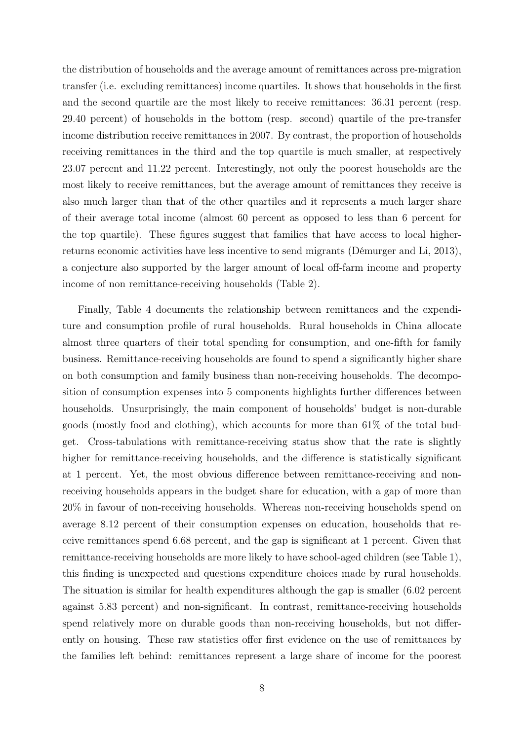the distribution of households and the average amount of remittances across pre-migration transfer (i.e. excluding remittances) income quartiles. It shows that households in the first and the second quartile are the most likely to receive remittances: 36.31 percent (resp. 29.40 percent) of households in the bottom (resp. second) quartile of the pre-transfer income distribution receive remittances in 2007. By contrast, the proportion of households receiving remittances in the third and the top quartile is much smaller, at respectively 23.07 percent and 11.22 percent. Interestingly, not only the poorest households are the most likely to receive remittances, but the average amount of remittances they receive is also much larger than that of the other quartiles and it represents a much larger share of their average total income (almost 60 percent as opposed to less than 6 percent for the top quartile). These figures suggest that families that have access to local higherreturns economic activities have less incentive to send migrants (Démurger and Li, 2013), a conjecture also supported by the larger amount of local off-farm income and property income of non remittance-receiving households (Table 2).

Finally, Table 4 documents the relationship between remittances and the expenditure and consumption profile of rural households. Rural households in China allocate almost three quarters of their total spending for consumption, and one-fifth for family business. Remittance-receiving households are found to spend a significantly higher share on both consumption and family business than non-receiving households. The decomposition of consumption expenses into 5 components highlights further differences between households. Unsurprisingly, the main component of households' budget is non-durable goods (mostly food and clothing), which accounts for more than 61% of the total budget. Cross-tabulations with remittance-receiving status show that the rate is slightly higher for remittance-receiving households, and the difference is statistically significant at 1 percent. Yet, the most obvious difference between remittance-receiving and nonreceiving households appears in the budget share for education, with a gap of more than 20% in favour of non-receiving households. Whereas non-receiving households spend on average 8.12 percent of their consumption expenses on education, households that receive remittances spend 6.68 percent, and the gap is significant at 1 percent. Given that remittance-receiving households are more likely to have school-aged children (see Table 1), this finding is unexpected and questions expenditure choices made by rural households. The situation is similar for health expenditures although the gap is smaller (6.02 percent against 5.83 percent) and non-significant. In contrast, remittance-receiving households spend relatively more on durable goods than non-receiving households, but not differently on housing. These raw statistics offer first evidence on the use of remittances by the families left behind: remittances represent a large share of income for the poorest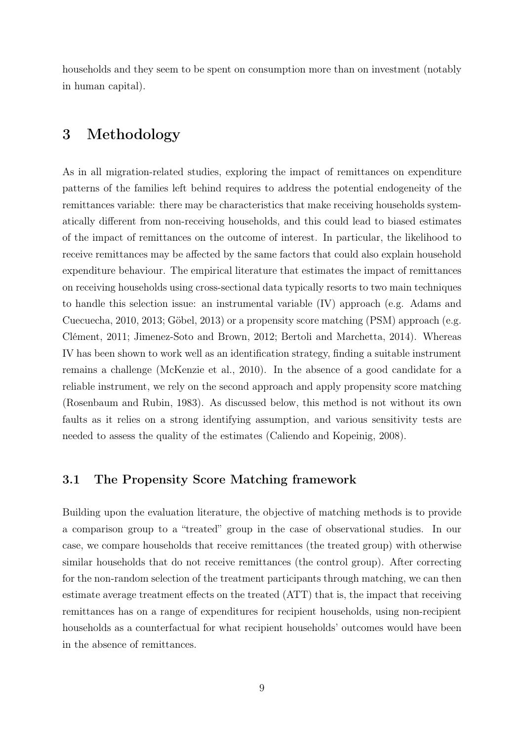households and they seem to be spent on consumption more than on investment (notably in human capital).

# 3 Methodology

As in all migration-related studies, exploring the impact of remittances on expenditure patterns of the families left behind requires to address the potential endogeneity of the remittances variable: there may be characteristics that make receiving households systematically different from non-receiving households, and this could lead to biased estimates of the impact of remittances on the outcome of interest. In particular, the likelihood to receive remittances may be affected by the same factors that could also explain household expenditure behaviour. The empirical literature that estimates the impact of remittances on receiving households using cross-sectional data typically resorts to two main techniques to handle this selection issue: an instrumental variable (IV) approach (e.g. Adams and Cuecuecha, 2010, 2013; Göbel, 2013) or a propensity score matching (PSM) approach (e.g. Clément, 2011; Jimenez-Soto and Brown, 2012; Bertoli and Marchetta, 2014). Whereas IV has been shown to work well as an identification strategy, finding a suitable instrument remains a challenge (McKenzie et al., 2010). In the absence of a good candidate for a reliable instrument, we rely on the second approach and apply propensity score matching (Rosenbaum and Rubin, 1983). As discussed below, this method is not without its own faults as it relies on a strong identifying assumption, and various sensitivity tests are needed to assess the quality of the estimates (Caliendo and Kopeinig, 2008).

#### 3.1 The Propensity Score Matching framework

Building upon the evaluation literature, the objective of matching methods is to provide a comparison group to a "treated" group in the case of observational studies. In our case, we compare households that receive remittances (the treated group) with otherwise similar households that do not receive remittances (the control group). After correcting for the non-random selection of the treatment participants through matching, we can then estimate average treatment effects on the treated (ATT) that is, the impact that receiving remittances has on a range of expenditures for recipient households, using non-recipient households as a counterfactual for what recipient households' outcomes would have been in the absence of remittances.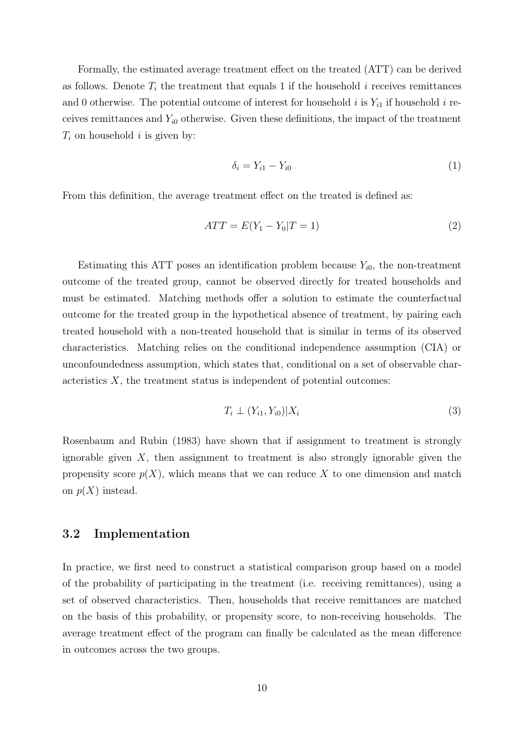Formally, the estimated average treatment effect on the treated (ATT) can be derived as follows. Denote  $T_i$  the treatment that equals 1 if the household i receives remittances and 0 otherwise. The potential outcome of interest for household i is  $Y_{i1}$  if household i receives remittances and  $Y_{i0}$  otherwise. Given these definitions, the impact of the treatment  $T_i$  on household i is given by:

$$
\delta_i = Y_{i1} - Y_{i0} \tag{1}
$$

From this definition, the average treatment effect on the treated is defined as:

$$
ATT = E(Y_1 - Y_0 | T = 1)
$$
\n(2)

Estimating this ATT poses an identification problem because  $Y_{i0}$ , the non-treatment outcome of the treated group, cannot be observed directly for treated households and must be estimated. Matching methods offer a solution to estimate the counterfactual outcome for the treated group in the hypothetical absence of treatment, by pairing each treated household with a non-treated household that is similar in terms of its observed characteristics. Matching relies on the conditional independence assumption (CIA) or unconfoundedness assumption, which states that, conditional on a set of observable characteristics  $X$ , the treatment status is independent of potential outcomes:

$$
T_i \perp (Y_{i1}, Y_{i0}) | X_i \tag{3}
$$

Rosenbaum and Rubin (1983) have shown that if assignment to treatment is strongly ignorable given  $X$ , then assignment to treatment is also strongly ignorable given the propensity score  $p(X)$ , which means that we can reduce X to one dimension and match on  $p(X)$  instead.

#### 3.2 Implementation

In practice, we first need to construct a statistical comparison group based on a model of the probability of participating in the treatment (i.e. receiving remittances), using a set of observed characteristics. Then, households that receive remittances are matched on the basis of this probability, or propensity score, to non-receiving households. The average treatment effect of the program can finally be calculated as the mean difference in outcomes across the two groups.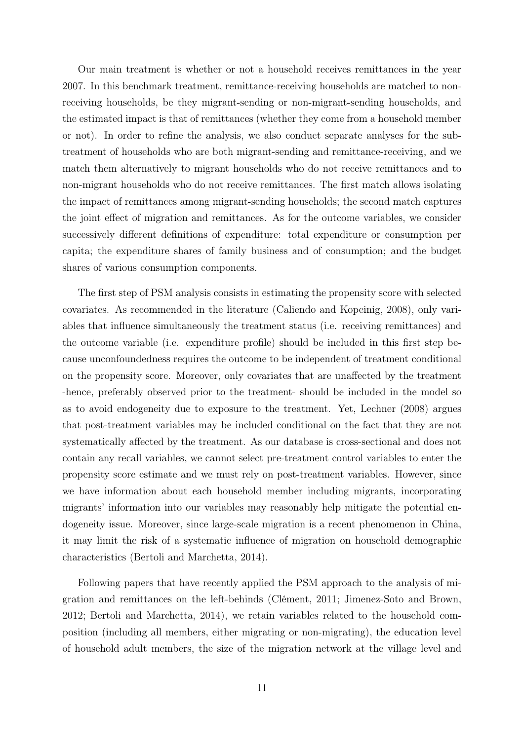Our main treatment is whether or not a household receives remittances in the year 2007. In this benchmark treatment, remittance-receiving households are matched to nonreceiving households, be they migrant-sending or non-migrant-sending households, and the estimated impact is that of remittances (whether they come from a household member or not). In order to refine the analysis, we also conduct separate analyses for the subtreatment of households who are both migrant-sending and remittance-receiving, and we match them alternatively to migrant households who do not receive remittances and to non-migrant households who do not receive remittances. The first match allows isolating the impact of remittances among migrant-sending households; the second match captures the joint effect of migration and remittances. As for the outcome variables, we consider successively different definitions of expenditure: total expenditure or consumption per capita; the expenditure shares of family business and of consumption; and the budget shares of various consumption components.

The first step of PSM analysis consists in estimating the propensity score with selected covariates. As recommended in the literature (Caliendo and Kopeinig, 2008), only variables that influence simultaneously the treatment status (i.e. receiving remittances) and the outcome variable (i.e. expenditure profile) should be included in this first step because unconfoundedness requires the outcome to be independent of treatment conditional on the propensity score. Moreover, only covariates that are unaffected by the treatment -hence, preferably observed prior to the treatment- should be included in the model so as to avoid endogeneity due to exposure to the treatment. Yet, Lechner (2008) argues that post-treatment variables may be included conditional on the fact that they are not systematically affected by the treatment. As our database is cross-sectional and does not contain any recall variables, we cannot select pre-treatment control variables to enter the propensity score estimate and we must rely on post-treatment variables. However, since we have information about each household member including migrants, incorporating migrants' information into our variables may reasonably help mitigate the potential endogeneity issue. Moreover, since large-scale migration is a recent phenomenon in China, it may limit the risk of a systematic influence of migration on household demographic characteristics (Bertoli and Marchetta, 2014).

Following papers that have recently applied the PSM approach to the analysis of migration and remittances on the left-behinds (Clément, 2011; Jimenez-Soto and Brown, 2012; Bertoli and Marchetta, 2014), we retain variables related to the household composition (including all members, either migrating or non-migrating), the education level of household adult members, the size of the migration network at the village level and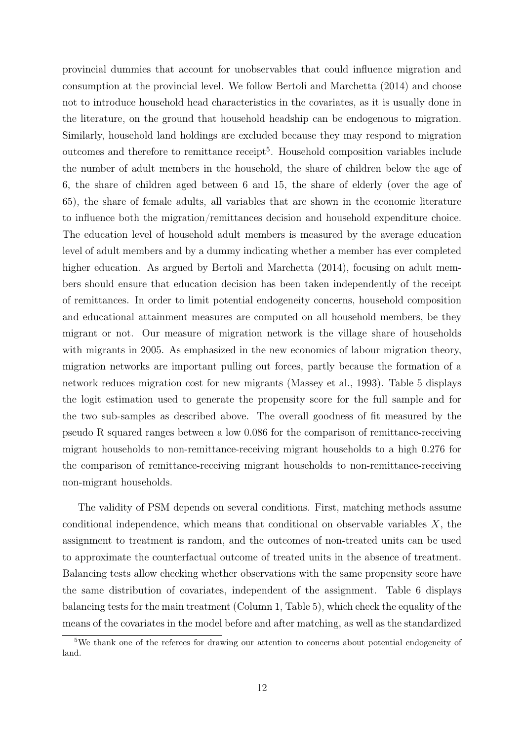provincial dummies that account for unobservables that could influence migration and consumption at the provincial level. We follow Bertoli and Marchetta (2014) and choose not to introduce household head characteristics in the covariates, as it is usually done in the literature, on the ground that household headship can be endogenous to migration. Similarly, household land holdings are excluded because they may respond to migration outcomes and therefore to remittance receipt<sup>5</sup>. Household composition variables include the number of adult members in the household, the share of children below the age of 6, the share of children aged between 6 and 15, the share of elderly (over the age of 65), the share of female adults, all variables that are shown in the economic literature to influence both the migration/remittances decision and household expenditure choice. The education level of household adult members is measured by the average education level of adult members and by a dummy indicating whether a member has ever completed higher education. As argued by Bertoli and Marchetta  $(2014)$ , focusing on adult members should ensure that education decision has been taken independently of the receipt of remittances. In order to limit potential endogeneity concerns, household composition and educational attainment measures are computed on all household members, be they migrant or not. Our measure of migration network is the village share of households with migrants in 2005. As emphasized in the new economics of labour migration theory, migration networks are important pulling out forces, partly because the formation of a network reduces migration cost for new migrants (Massey et al., 1993). Table 5 displays the logit estimation used to generate the propensity score for the full sample and for the two sub-samples as described above. The overall goodness of fit measured by the pseudo R squared ranges between a low 0.086 for the comparison of remittance-receiving migrant households to non-remittance-receiving migrant households to a high 0.276 for the comparison of remittance-receiving migrant households to non-remittance-receiving non-migrant households.

The validity of PSM depends on several conditions. First, matching methods assume conditional independence, which means that conditional on observable variables  $X$ , the assignment to treatment is random, and the outcomes of non-treated units can be used to approximate the counterfactual outcome of treated units in the absence of treatment. Balancing tests allow checking whether observations with the same propensity score have the same distribution of covariates, independent of the assignment. Table 6 displays balancing tests for the main treatment (Column 1, Table 5), which check the equality of the means of the covariates in the model before and after matching, as well as the standardized

<sup>&</sup>lt;sup>5</sup>We thank one of the referees for drawing our attention to concerns about potential endogeneity of land.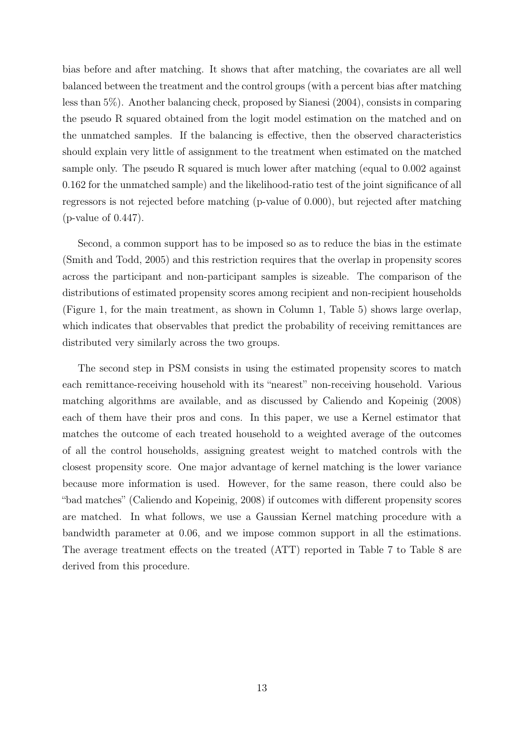bias before and after matching. It shows that after matching, the covariates are all well balanced between the treatment and the control groups (with a percent bias after matching less than 5%). Another balancing check, proposed by Sianesi (2004), consists in comparing the pseudo R squared obtained from the logit model estimation on the matched and on the unmatched samples. If the balancing is effective, then the observed characteristics should explain very little of assignment to the treatment when estimated on the matched sample only. The pseudo R squared is much lower after matching (equal to 0.002 against 0.162 for the unmatched sample) and the likelihood-ratio test of the joint significance of all regressors is not rejected before matching (p-value of 0.000), but rejected after matching (p-value of 0.447).

Second, a common support has to be imposed so as to reduce the bias in the estimate (Smith and Todd, 2005) and this restriction requires that the overlap in propensity scores across the participant and non-participant samples is sizeable. The comparison of the distributions of estimated propensity scores among recipient and non-recipient households (Figure 1, for the main treatment, as shown in Column 1, Table 5) shows large overlap, which indicates that observables that predict the probability of receiving remittances are distributed very similarly across the two groups.

The second step in PSM consists in using the estimated propensity scores to match each remittance-receiving household with its "nearest" non-receiving household. Various matching algorithms are available, and as discussed by Caliendo and Kopeinig (2008) each of them have their pros and cons. In this paper, we use a Kernel estimator that matches the outcome of each treated household to a weighted average of the outcomes of all the control households, assigning greatest weight to matched controls with the closest propensity score. One major advantage of kernel matching is the lower variance because more information is used. However, for the same reason, there could also be "bad matches" (Caliendo and Kopeinig, 2008) if outcomes with different propensity scores are matched. In what follows, we use a Gaussian Kernel matching procedure with a bandwidth parameter at 0.06, and we impose common support in all the estimations. The average treatment effects on the treated (ATT) reported in Table 7 to Table 8 are derived from this procedure.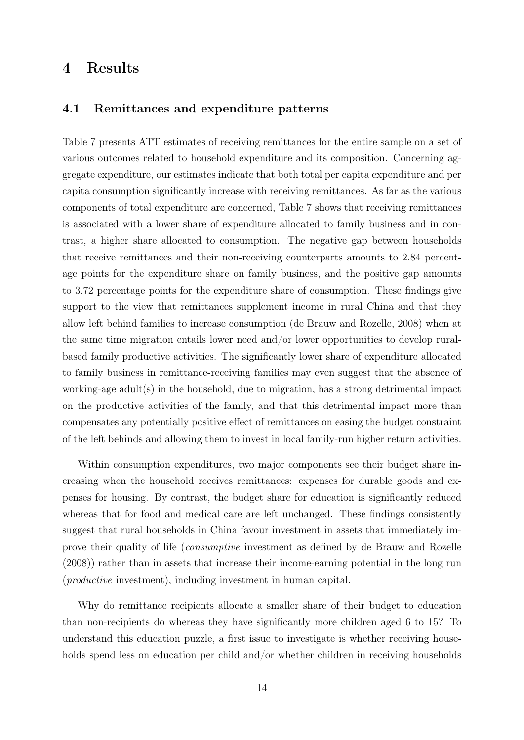## 4 Results

#### 4.1 Remittances and expenditure patterns

Table 7 presents ATT estimates of receiving remittances for the entire sample on a set of various outcomes related to household expenditure and its composition. Concerning aggregate expenditure, our estimates indicate that both total per capita expenditure and per capita consumption significantly increase with receiving remittances. As far as the various components of total expenditure are concerned, Table 7 shows that receiving remittances is associated with a lower share of expenditure allocated to family business and in contrast, a higher share allocated to consumption. The negative gap between households that receive remittances and their non-receiving counterparts amounts to 2.84 percentage points for the expenditure share on family business, and the positive gap amounts to 3.72 percentage points for the expenditure share of consumption. These findings give support to the view that remittances supplement income in rural China and that they allow left behind families to increase consumption (de Brauw and Rozelle, 2008) when at the same time migration entails lower need and/or lower opportunities to develop ruralbased family productive activities. The significantly lower share of expenditure allocated to family business in remittance-receiving families may even suggest that the absence of working-age adult(s) in the household, due to migration, has a strong detrimental impact on the productive activities of the family, and that this detrimental impact more than compensates any potentially positive effect of remittances on easing the budget constraint of the left behinds and allowing them to invest in local family-run higher return activities.

Within consumption expenditures, two major components see their budget share increasing when the household receives remittances: expenses for durable goods and expenses for housing. By contrast, the budget share for education is significantly reduced whereas that for food and medical care are left unchanged. These findings consistently suggest that rural households in China favour investment in assets that immediately improve their quality of life (consumptive investment as defined by de Brauw and Rozelle (2008)) rather than in assets that increase their income-earning potential in the long run (productive investment), including investment in human capital.

Why do remittance recipients allocate a smaller share of their budget to education than non-recipients do whereas they have significantly more children aged 6 to 15? To understand this education puzzle, a first issue to investigate is whether receiving households spend less on education per child and/or whether children in receiving households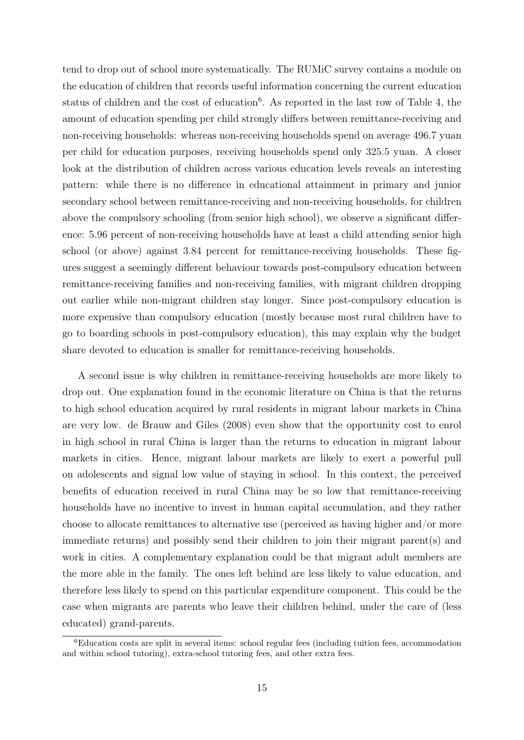tend to drop out of school more systematically. The RUMiC survey contains a module on the education of children that records useful information concerning the current education status of children and the cost of education<sup>6</sup>. As reported in the last row of Table 4, the amount of education spending per child strongly differs between remittance-receiving and non-receiving households: whereas non-receiving households spend on average 496.7 yuan per child for education purposes, receiving households spend only 325.5 yuan. A closer look at the distribution of children across various education levels reveals an interesting pattern: while there is no difference in educational attainment in primary and junior secondary school between remittance-receiving and non-receiving households, for children above the compulsory schooling (from senior high school), we observe a significant difference: 5.96 percent of non-receiving households have at least a child attending senior high school (or above) against 3.84 percent for remittance-receiving households. These figures suggest a seemingly different behaviour towards post-compulsory education between remittance-receiving families and non-receiving families, with migrant children dropping out earlier while non-migrant children stay longer. Since post-compulsory education is more expensive than compulsory education (mostly because most rural children have to go to boarding schools in post-compulsory education), this may explain why the budget share devoted to education is smaller for remittance-receiving households.

A second issue is why children in remittance-receiving households are more likely to drop out. One explanation found in the economic literature on China is that the returns to high school education acquired by rural residents in migrant labour markets in China are very low. de Brauw and Giles (2008) even show that the opportunity cost to enrol in high school in rural China is larger than the returns to education in migrant labour markets in cities. Hence, migrant labour markets are likely to exert a powerful pull on adolescents and signal low value of staying in school. In this context, the perceived benefits of education received in rural China may be so low that remittance-receiving households have no incentive to invest in human capital accumulation, and they rather choose to allocate remittances to alternative use (perceived as having higher and/or more immediate returns) and possibly send their children to join their migrant parent(s) and work in cities. A complementary explanation could be that migrant adult members are the more able in the family. The ones left behind are less likely to value education, and therefore less likely to spend on this particular expenditure component. This could be the case when migrants are parents who leave their children behind, under the care of (less educated) grand-parents.

<sup>6</sup>Education costs are split in several items: school regular fees (including tuition fees, accommodation and within school tutoring), extra-school tutoring fees, and other extra fees.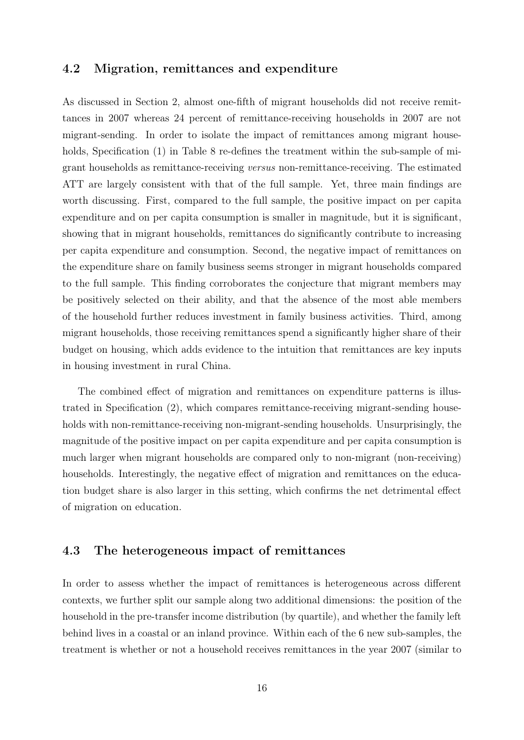#### 4.2 Migration, remittances and expenditure

As discussed in Section 2, almost one-fifth of migrant households did not receive remittances in 2007 whereas 24 percent of remittance-receiving households in 2007 are not migrant-sending. In order to isolate the impact of remittances among migrant households, Specification (1) in Table 8 re-defines the treatment within the sub-sample of migrant households as remittance-receiving versus non-remittance-receiving. The estimated ATT are largely consistent with that of the full sample. Yet, three main findings are worth discussing. First, compared to the full sample, the positive impact on per capita expenditure and on per capita consumption is smaller in magnitude, but it is significant, showing that in migrant households, remittances do significantly contribute to increasing per capita expenditure and consumption. Second, the negative impact of remittances on the expenditure share on family business seems stronger in migrant households compared to the full sample. This finding corroborates the conjecture that migrant members may be positively selected on their ability, and that the absence of the most able members of the household further reduces investment in family business activities. Third, among migrant households, those receiving remittances spend a significantly higher share of their budget on housing, which adds evidence to the intuition that remittances are key inputs in housing investment in rural China.

The combined effect of migration and remittances on expenditure patterns is illustrated in Specification (2), which compares remittance-receiving migrant-sending households with non-remittance-receiving non-migrant-sending households. Unsurprisingly, the magnitude of the positive impact on per capita expenditure and per capita consumption is much larger when migrant households are compared only to non-migrant (non-receiving) households. Interestingly, the negative effect of migration and remittances on the education budget share is also larger in this setting, which confirms the net detrimental effect of migration on education.

#### 4.3 The heterogeneous impact of remittances

In order to assess whether the impact of remittances is heterogeneous across different contexts, we further split our sample along two additional dimensions: the position of the household in the pre-transfer income distribution (by quartile), and whether the family left behind lives in a coastal or an inland province. Within each of the 6 new sub-samples, the treatment is whether or not a household receives remittances in the year 2007 (similar to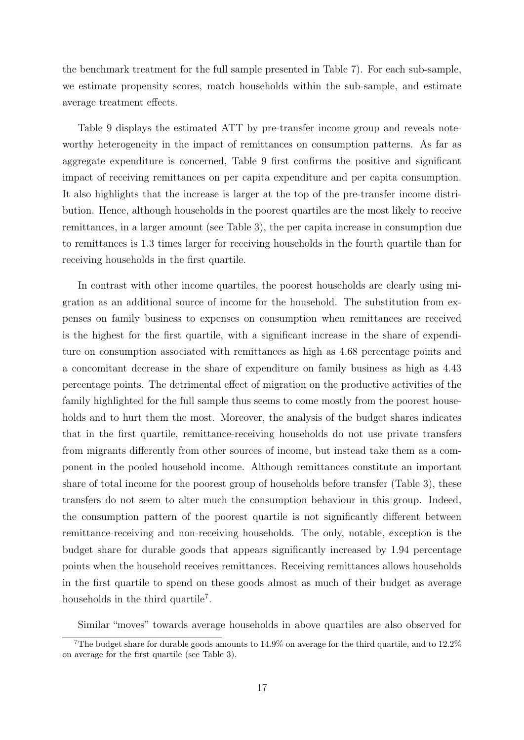the benchmark treatment for the full sample presented in Table 7). For each sub-sample, we estimate propensity scores, match households within the sub-sample, and estimate average treatment effects.

Table 9 displays the estimated ATT by pre-transfer income group and reveals noteworthy heterogeneity in the impact of remittances on consumption patterns. As far as aggregate expenditure is concerned, Table 9 first confirms the positive and significant impact of receiving remittances on per capita expenditure and per capita consumption. It also highlights that the increase is larger at the top of the pre-transfer income distribution. Hence, although households in the poorest quartiles are the most likely to receive remittances, in a larger amount (see Table 3), the per capita increase in consumption due to remittances is 1.3 times larger for receiving households in the fourth quartile than for receiving households in the first quartile.

In contrast with other income quartiles, the poorest households are clearly using migration as an additional source of income for the household. The substitution from expenses on family business to expenses on consumption when remittances are received is the highest for the first quartile, with a significant increase in the share of expenditure on consumption associated with remittances as high as 4.68 percentage points and a concomitant decrease in the share of expenditure on family business as high as 4.43 percentage points. The detrimental effect of migration on the productive activities of the family highlighted for the full sample thus seems to come mostly from the poorest households and to hurt them the most. Moreover, the analysis of the budget shares indicates that in the first quartile, remittance-receiving households do not use private transfers from migrants differently from other sources of income, but instead take them as a component in the pooled household income. Although remittances constitute an important share of total income for the poorest group of households before transfer (Table 3), these transfers do not seem to alter much the consumption behaviour in this group. Indeed, the consumption pattern of the poorest quartile is not significantly different between remittance-receiving and non-receiving households. The only, notable, exception is the budget share for durable goods that appears significantly increased by 1.94 percentage points when the household receives remittances. Receiving remittances allows households in the first quartile to spend on these goods almost as much of their budget as average households in the third quartile<sup>7</sup>.

Similar "moves" towards average households in above quartiles are also observed for

<sup>&</sup>lt;sup>7</sup>The budget share for durable goods amounts to  $14.9\%$  on average for the third quartile, and to  $12.2\%$ on average for the first quartile (see Table 3).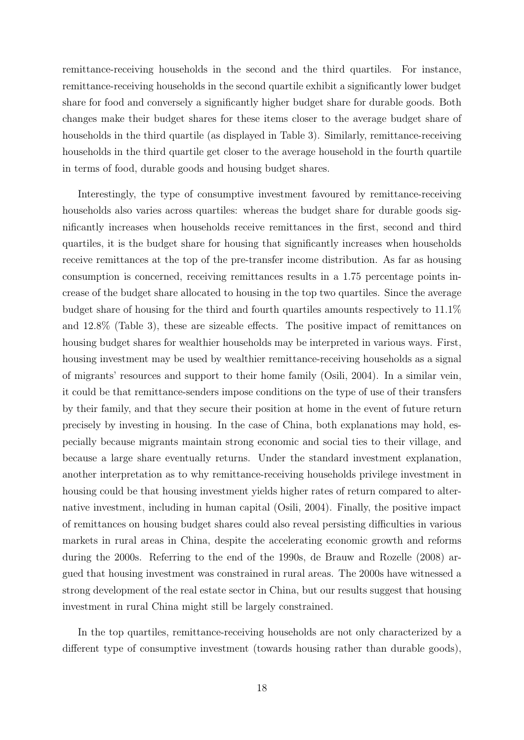remittance-receiving households in the second and the third quartiles. For instance, remittance-receiving households in the second quartile exhibit a significantly lower budget share for food and conversely a significantly higher budget share for durable goods. Both changes make their budget shares for these items closer to the average budget share of households in the third quartile (as displayed in Table 3). Similarly, remittance-receiving households in the third quartile get closer to the average household in the fourth quartile in terms of food, durable goods and housing budget shares.

Interestingly, the type of consumptive investment favoured by remittance-receiving households also varies across quartiles: whereas the budget share for durable goods significantly increases when households receive remittances in the first, second and third quartiles, it is the budget share for housing that significantly increases when households receive remittances at the top of the pre-transfer income distribution. As far as housing consumption is concerned, receiving remittances results in a 1.75 percentage points increase of the budget share allocated to housing in the top two quartiles. Since the average budget share of housing for the third and fourth quartiles amounts respectively to 11.1% and 12.8% (Table 3), these are sizeable effects. The positive impact of remittances on housing budget shares for wealthier households may be interpreted in various ways. First, housing investment may be used by wealthier remittance-receiving households as a signal of migrants' resources and support to their home family (Osili, 2004). In a similar vein, it could be that remittance-senders impose conditions on the type of use of their transfers by their family, and that they secure their position at home in the event of future return precisely by investing in housing. In the case of China, both explanations may hold, especially because migrants maintain strong economic and social ties to their village, and because a large share eventually returns. Under the standard investment explanation, another interpretation as to why remittance-receiving households privilege investment in housing could be that housing investment yields higher rates of return compared to alternative investment, including in human capital (Osili, 2004). Finally, the positive impact of remittances on housing budget shares could also reveal persisting difficulties in various markets in rural areas in China, despite the accelerating economic growth and reforms during the 2000s. Referring to the end of the 1990s, de Brauw and Rozelle (2008) argued that housing investment was constrained in rural areas. The 2000s have witnessed a strong development of the real estate sector in China, but our results suggest that housing investment in rural China might still be largely constrained.

In the top quartiles, remittance-receiving households are not only characterized by a different type of consumptive investment (towards housing rather than durable goods),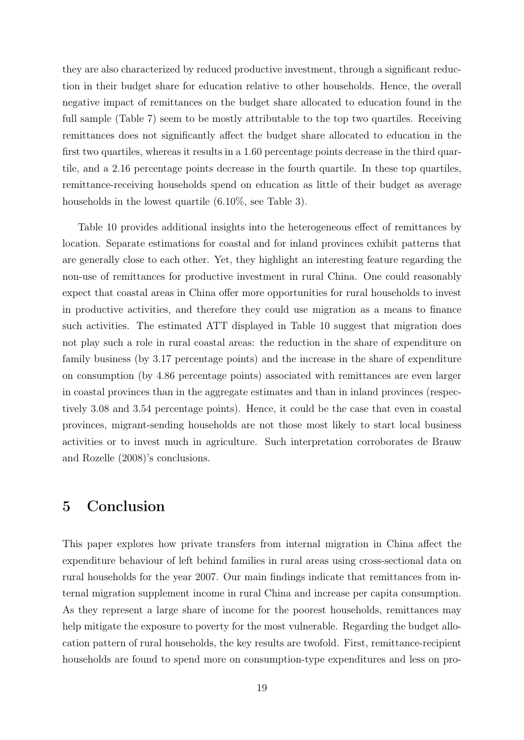they are also characterized by reduced productive investment, through a significant reduction in their budget share for education relative to other households. Hence, the overall negative impact of remittances on the budget share allocated to education found in the full sample (Table 7) seem to be mostly attributable to the top two quartiles. Receiving remittances does not significantly affect the budget share allocated to education in the first two quartiles, whereas it results in a 1.60 percentage points decrease in the third quartile, and a 2.16 percentage points decrease in the fourth quartile. In these top quartiles, remittance-receiving households spend on education as little of their budget as average households in the lowest quartile  $(6.10\%$ , see Table 3).

Table 10 provides additional insights into the heterogeneous effect of remittances by location. Separate estimations for coastal and for inland provinces exhibit patterns that are generally close to each other. Yet, they highlight an interesting feature regarding the non-use of remittances for productive investment in rural China. One could reasonably expect that coastal areas in China offer more opportunities for rural households to invest in productive activities, and therefore they could use migration as a means to finance such activities. The estimated ATT displayed in Table 10 suggest that migration does not play such a role in rural coastal areas: the reduction in the share of expenditure on family business (by 3.17 percentage points) and the increase in the share of expenditure on consumption (by 4.86 percentage points) associated with remittances are even larger in coastal provinces than in the aggregate estimates and than in inland provinces (respectively 3.08 and 3.54 percentage points). Hence, it could be the case that even in coastal provinces, migrant-sending households are not those most likely to start local business activities or to invest much in agriculture. Such interpretation corroborates de Brauw and Rozelle (2008)'s conclusions.

### 5 Conclusion

This paper explores how private transfers from internal migration in China affect the expenditure behaviour of left behind families in rural areas using cross-sectional data on rural households for the year 2007. Our main findings indicate that remittances from internal migration supplement income in rural China and increase per capita consumption. As they represent a large share of income for the poorest households, remittances may help mitigate the exposure to poverty for the most vulnerable. Regarding the budget allocation pattern of rural households, the key results are twofold. First, remittance-recipient households are found to spend more on consumption-type expenditures and less on pro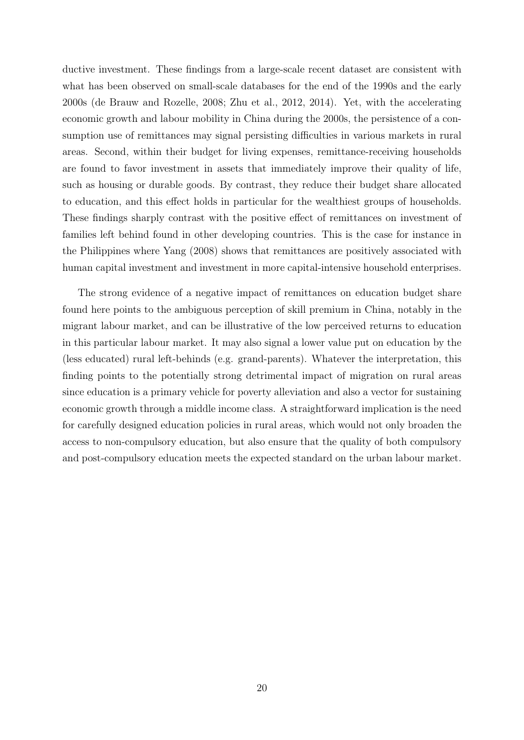ductive investment. These findings from a large-scale recent dataset are consistent with what has been observed on small-scale databases for the end of the 1990s and the early 2000s (de Brauw and Rozelle, 2008; Zhu et al., 2012, 2014). Yet, with the accelerating economic growth and labour mobility in China during the 2000s, the persistence of a consumption use of remittances may signal persisting difficulties in various markets in rural areas. Second, within their budget for living expenses, remittance-receiving households are found to favor investment in assets that immediately improve their quality of life, such as housing or durable goods. By contrast, they reduce their budget share allocated to education, and this effect holds in particular for the wealthiest groups of households. These findings sharply contrast with the positive effect of remittances on investment of families left behind found in other developing countries. This is the case for instance in the Philippines where Yang (2008) shows that remittances are positively associated with human capital investment and investment in more capital-intensive household enterprises.

The strong evidence of a negative impact of remittances on education budget share found here points to the ambiguous perception of skill premium in China, notably in the migrant labour market, and can be illustrative of the low perceived returns to education in this particular labour market. It may also signal a lower value put on education by the (less educated) rural left-behinds (e.g. grand-parents). Whatever the interpretation, this finding points to the potentially strong detrimental impact of migration on rural areas since education is a primary vehicle for poverty alleviation and also a vector for sustaining economic growth through a middle income class. A straightforward implication is the need for carefully designed education policies in rural areas, which would not only broaden the access to non-compulsory education, but also ensure that the quality of both compulsory and post-compulsory education meets the expected standard on the urban labour market.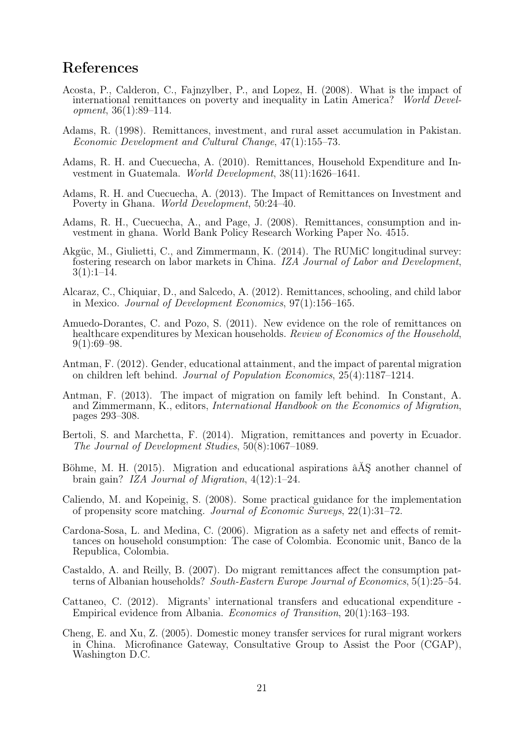# References

- Acosta, P., Calderon, C., Fajnzylber, P., and Lopez, H. (2008). What is the impact of international remittances on poverty and inequality in Latin America? World Development, 36(1):89–114.
- Adams, R. (1998). Remittances, investment, and rural asset accumulation in Pakistan. Economic Development and Cultural Change, 47(1):155–73.
- Adams, R. H. and Cuecuecha, A. (2010). Remittances, Household Expenditure and Investment in Guatemala. World Development, 38(11):1626–1641.
- Adams, R. H. and Cuecuecha, A. (2013). The Impact of Remittances on Investment and Poverty in Ghana. World Development, 50:24–40.
- Adams, R. H., Cuecuecha, A., and Page, J. (2008). Remittances, consumption and investment in ghana. World Bank Policy Research Working Paper No. 4515.
- Akgüc, M., Giulietti, C., and Zimmermann, K. (2014). The RUMiC longitudinal survey: fostering research on labor markets in China. IZA Journal of Labor and Development,  $3(1):1-14.$
- Alcaraz, C., Chiquiar, D., and Salcedo, A. (2012). Remittances, schooling, and child labor in Mexico. Journal of Development Economics, 97(1):156–165.
- Amuedo-Dorantes, C. and Pozo, S. (2011). New evidence on the role of remittances on healthcare expenditures by Mexican households. Review of Economics of the Household,  $9(1):69-98.$
- Antman, F. (2012). Gender, educational attainment, and the impact of parental migration on children left behind. Journal of Population Economics, 25(4):1187–1214.
- Antman, F. (2013). The impact of migration on family left behind. In Constant, A. and Zimmermann, K., editors, International Handbook on the Economics of Migration, pages 293–308.
- Bertoli, S. and Marchetta, F. (2014). Migration, remittances and poverty in Ecuador. The Journal of Development Studies, 50(8):1067–1089.
- Böhme, M. H. (2015). Migration and educational aspirations âĂŞ another channel of brain gain? IZA Journal of Migration, 4(12):1–24.
- Caliendo, M. and Kopeinig, S. (2008). Some practical guidance for the implementation of propensity score matching. Journal of Economic Surveys, 22(1):31–72.
- Cardona-Sosa, L. and Medina, C. (2006). Migration as a safety net and effects of remittances on household consumption: The case of Colombia. Economic unit, Banco de la Republica, Colombia.
- Castaldo, A. and Reilly, B. (2007). Do migrant remittances affect the consumption patterns of Albanian households? South-Eastern Europe Journal of Economics, 5(1):25–54.
- Cattaneo, C. (2012). Migrants' international transfers and educational expenditure Empirical evidence from Albania. Economics of Transition, 20(1):163–193.
- Cheng, E. and Xu, Z. (2005). Domestic money transfer services for rural migrant workers in China. Microfinance Gateway, Consultative Group to Assist the Poor (CGAP), Washington D.C.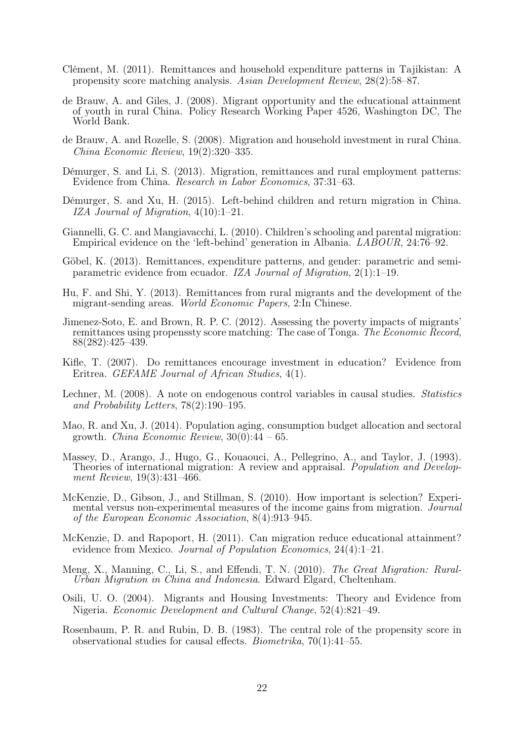- Clément, M. (2011). Remittances and household expenditure patterns in Tajikistan: A propensity score matching analysis. Asian Development Review, 28(2):58–87.
- de Brauw, A. and Giles, J. (2008). Migrant opportunity and the educational attainment of youth in rural China. Policy Research Working Paper 4526, Washington DC, The World Bank.
- de Brauw, A. and Rozelle, S. (2008). Migration and household investment in rural China. China Economic Review, 19(2):320–335.
- Démurger, S. and Li, S. (2013). Migration, remittances and rural employment patterns: Evidence from China. Research in Labor Economics, 37:31–63.
- Démurger, S. and Xu, H. (2015). Left-behind children and return migration in China. IZA Journal of Migration, 4(10):1–21.
- Giannelli, G. C. and Mangiavacchi, L. (2010). Children's schooling and parental migration: Empirical evidence on the 'left-behind' generation in Albania. LABOUR, 24:76–92.
- Göbel, K. (2013). Remittances, expenditure patterns, and gender: parametric and semiparametric evidence from ecuador. IZA Journal of Migration, 2(1):1–19.
- Hu, F. and Shi, Y. (2013). Remittances from rural migrants and the development of the migrant-sending areas. World Economic Papers, 2:In Chinese.
- Jimenez-Soto, E. and Brown, R. P. C. (2012). Assessing the poverty impacts of migrants' remittances using propenssty score matching: The case of Tonga. The Economic Record, 88(282):425–439.
- Kifle, T. (2007). Do remittances encourage investment in education? Evidence from Eritrea. GEFAME Journal of African Studies, 4(1).
- Lechner, M. (2008). A note on endogenous control variables in causal studies. Statistics and Probability Letters, 78(2):190–195.
- Mao, R. and Xu, J. (2014). Population aging, consumption budget allocation and sectoral growth. *China Economic Review*,  $30(0)$ :  $44 - 65$ .
- Massey, D., Arango, J., Hugo, G., Kouaouci, A., Pellegrino, A., and Taylor, J. (1993). Theories of international migration: A review and appraisal. Population and Development Review, 19(3):431–466.
- McKenzie, D., Gibson, J., and Stillman, S. (2010). How important is selection? Experimental versus non-experimental measures of the income gains from migration. Journal of the European Economic Association, 8(4):913–945.
- McKenzie, D. and Rapoport, H. (2011). Can migration reduce educational attainment? evidence from Mexico. Journal of Population Economics, 24(4):1–21.
- Meng, X., Manning, C., Li, S., and Effendi, T. N. (2010). The Great Migration: Rural-Urban Migration in China and Indonesia. Edward Elgard, Cheltenham.
- Osili, U. O. (2004). Migrants and Housing Investments: Theory and Evidence from Nigeria. Economic Development and Cultural Change, 52(4):821–49.
- Rosenbaum, P. R. and Rubin, D. B. (1983). The central role of the propensity score in observational studies for causal effects. Biometrika, 70(1):41–55.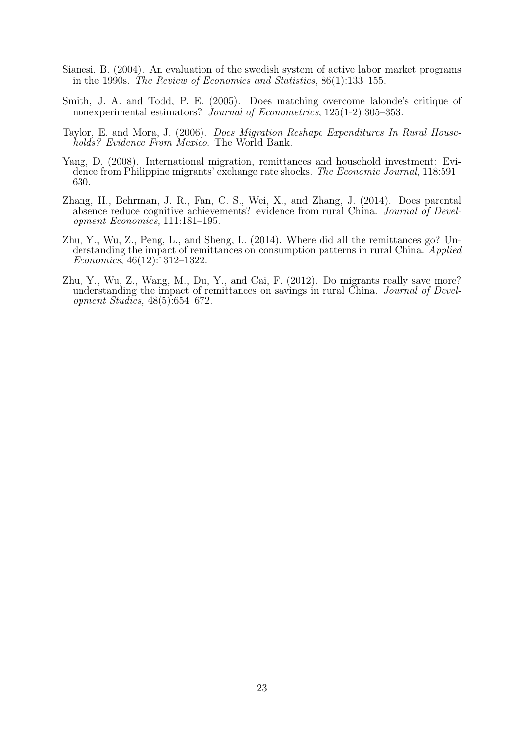- Sianesi, B. (2004). An evaluation of the swedish system of active labor market programs in the 1990s. The Review of Economics and Statistics, 86(1):133–155.
- Smith, J. A. and Todd, P. E. (2005). Does matching overcome lalonde's critique of nonexperimental estimators? Journal of Econometrics, 125(1-2):305–353.
- Taylor, E. and Mora, J. (2006). Does Migration Reshape Expenditures In Rural Households? Evidence From Mexico. The World Bank.
- Yang, D. (2008). International migration, remittances and household investment: Evidence from Philippine migrants' exchange rate shocks. The Economic Journal, 118:591– 630.
- Zhang, H., Behrman, J. R., Fan, C. S., Wei, X., and Zhang, J. (2014). Does parental absence reduce cognitive achievements? evidence from rural China. Journal of Development Economics, 111:181–195.
- Zhu, Y., Wu, Z., Peng, L., and Sheng, L. (2014). Where did all the remittances go? Understanding the impact of remittances on consumption patterns in rural China. Applied Economics, 46(12):1312–1322.
- Zhu, Y., Wu, Z., Wang, M., Du, Y., and Cai, F. (2012). Do migrants really save more? understanding the impact of remittances on savings in rural China. Journal of Development Studies, 48(5):654–672.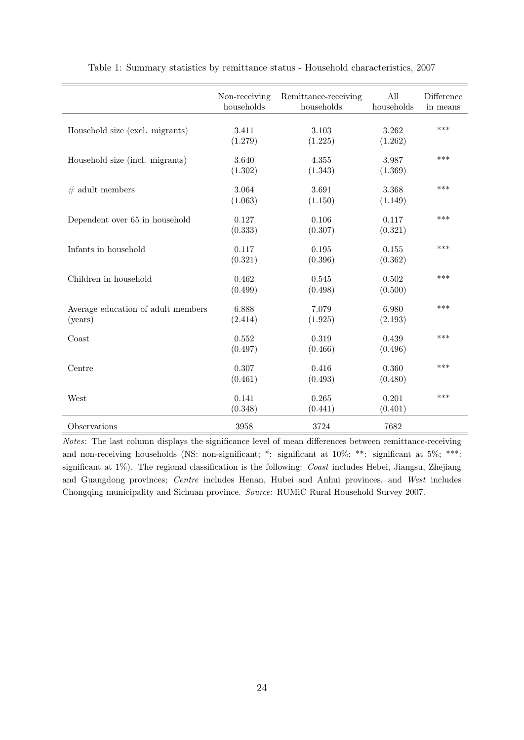|                                               | Non-receiving<br>households | Remittance-receiving<br>households | All<br>households | Difference<br>in means |
|-----------------------------------------------|-----------------------------|------------------------------------|-------------------|------------------------|
| Household size (excl. migrants)               | 3.411<br>(1.279)            | 3.103<br>(1.225)                   | 3.262<br>(1.262)  | ***                    |
| Household size (incl. migrants)               | 3.640<br>(1.302)            | 4.355<br>(1.343)                   | 3.987<br>(1.369)  | ***                    |
| $\#$ adult members                            | 3.064<br>(1.063)            | 3.691<br>(1.150)                   | 3.368<br>(1.149)  | ***                    |
| Dependent over 65 in household                | 0.127<br>(0.333)            | 0.106<br>(0.307)                   | 0.117<br>(0.321)  | ***                    |
| Infants in household                          | 0.117<br>(0.321)            | 0.195<br>(0.396)                   | 0.155<br>(0.362)  | ***                    |
| Children in household                         | 0.462<br>(0.499)            | 0.545<br>(0.498)                   | 0.502<br>(0.500)  | ***                    |
| Average education of adult members<br>(years) | 6.888<br>(2.414)            | 7.079<br>(1.925)                   | 6.980<br>(2.193)  | ***                    |
| Coast                                         | 0.552<br>(0.497)            | 0.319<br>(0.466)                   | 0.439<br>(0.496)  | ***                    |
| Centre                                        | 0.307<br>(0.461)            | 0.416<br>(0.493)                   | 0.360<br>(0.480)  | ***                    |
| West                                          | 0.141<br>(0.348)            | 0.265<br>(0.441)                   | 0.201<br>(0.401)  | ***                    |
| Observations                                  | 3958                        | 3724                               | 7682              |                        |

Table 1: Summary statistics by remittance status - Household characteristics, 2007

Notes: The last column displays the significance level of mean differences between remittance-receiving and non-receiving households (NS: non-significant; \*: significant at  $10\%$ ; \*\*: significant at  $5\%$ ; \*\*\*: significant at 1%). The regional classification is the following: *Coast* includes Hebei, Jiangsu, Zhejiang and Guangdong provinces; Centre includes Henan, Hubei and Anhui provinces, and West includes Chongqing municipality and Sichuan province. Source: RUMiC Rural Household Survey 2007.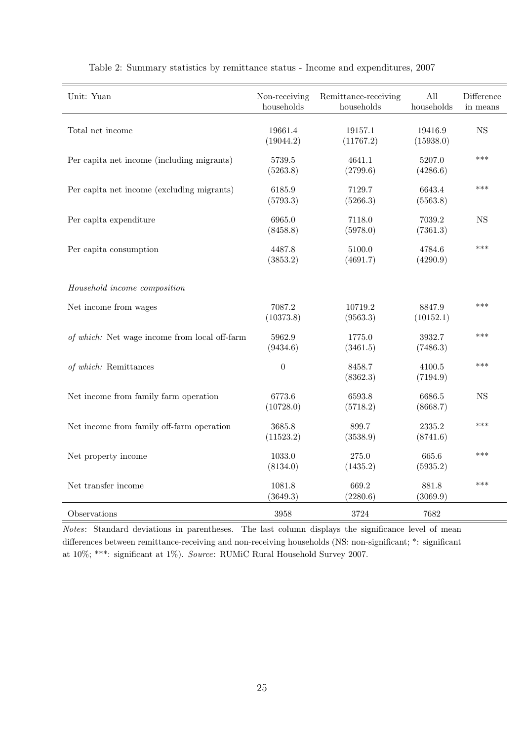| Unit: Yuan                                    | Non-receiving<br>households | Remittance-receiving<br>households | All<br>households    | Difference<br>in means |
|-----------------------------------------------|-----------------------------|------------------------------------|----------------------|------------------------|
| Total net income                              | 19661.4<br>(19044.2)        | 19157.1<br>(11767.2)               | 19416.9<br>(15938.0) | <b>NS</b>              |
| Per capita net income (including migrants)    | 5739.5<br>(5263.8)          | 4641.1<br>(2799.6)                 | 5207.0<br>(4286.6)   | ***                    |
| Per capita net income (excluding migrants)    | 6185.9<br>(5793.3)          | 7129.7<br>(5266.3)                 | 6643.4<br>(5563.8)   | ***                    |
| Per capita expenditure                        | 6965.0<br>(8458.8)          | 7118.0<br>(5978.0)                 | 7039.2<br>(7361.3)   | <b>NS</b>              |
| Per capita consumption                        | 4487.8<br>(3853.2)          | 5100.0<br>(4691.7)                 | 4784.6<br>(4290.9)   | ***                    |
| Household income composition                  |                             |                                    |                      |                        |
| Net income from wages                         | 7087.2<br>(10373.8)         | 10719.2<br>(9563.3)                | 8847.9<br>(10152.1)  | ***                    |
| of which: Net wage income from local off-farm | 5962.9<br>(9434.6)          | 1775.0<br>(3461.5)                 | 3932.7<br>(7486.3)   | ***                    |
| of which: Remittances                         | $\boldsymbol{0}$            | 8458.7<br>(8362.3)                 | 4100.5<br>(7194.9)   | ***                    |
| Net income from family farm operation         | 6773.6<br>(10728.0)         | 6593.8<br>(5718.2)                 | 6686.5<br>(8668.7)   | <b>NS</b>              |
| Net income from family off-farm operation     | 3685.8<br>(11523.2)         | 899.7<br>(3538.9)                  | 2335.2<br>(8741.6)   | ***                    |
| Net property income                           | 1033.0<br>(8134.0)          | 275.0<br>(1435.2)                  | 665.6<br>(5935.2)    | ***                    |
| Net transfer income                           | 1081.8<br>(3649.3)          | 669.2<br>(2280.6)                  | 881.8<br>(3069.9)    | ***                    |
| Observations                                  | 3958                        | 3724                               | 7682                 |                        |

Table 2: Summary statistics by remittance status - Income and expenditures, 2007

Notes: Standard deviations in parentheses. The last column displays the significance level of mean differences between remittance-receiving and non-receiving households (NS: non-significant; \*: significant at 10%; \*\*\*: significant at 1%). Source: RUMiC Rural Household Survey 2007.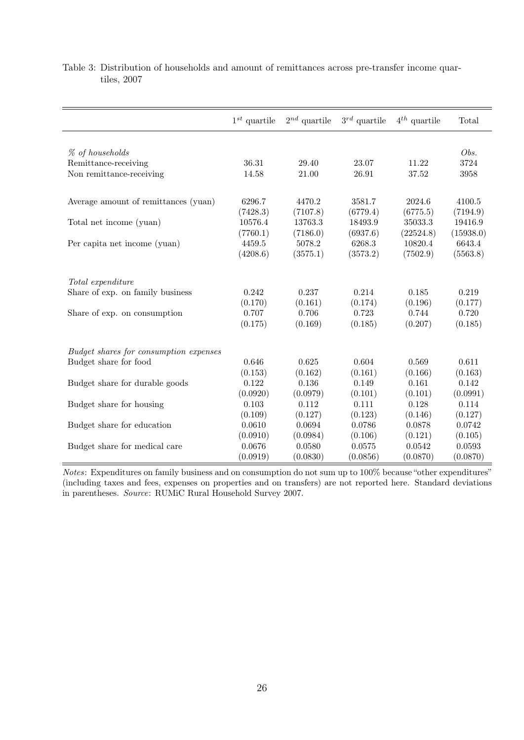|                                        | $1^{st}$ quartile | $2^{nd}$ quartile | $3^{rd}$ quartile | $4^{th}$ quartile | Total     |
|----------------------------------------|-------------------|-------------------|-------------------|-------------------|-----------|
|                                        |                   |                   |                   |                   |           |
| % of households                        |                   |                   |                   |                   | Obs.      |
| Remittance-receiving                   | 36.31             | 29.40             | 23.07             | 11.22             | 3724      |
| Non remittance-receiving               | 14.58             | 21.00             | 26.91             | 37.52             | 3958      |
|                                        |                   |                   |                   |                   |           |
| Average amount of remittances (yuan)   | 6296.7            | 4470.2            | 3581.7            | 2024.6            | 4100.5    |
|                                        | (7428.3)          | (7107.8)          | (6779.4)          | (6775.5)          | (7194.9)  |
| Total net income (yuan)                | 10576.4           | 13763.3           | 18493.9           | 35033.3           | 19416.9   |
|                                        | (7760.1)          | (7186.0)          | (6937.6)          | (22524.8)         | (15938.0) |
| Per capita net income (yuan)           | 4459.5            | 5078.2            | 6268.3            | 10820.4           | 6643.4    |
|                                        | (4208.6)          | (3575.1)          | (3573.2)          | (7502.9)          | (5563.8)  |
|                                        |                   |                   |                   |                   |           |
| Total expenditure                      |                   |                   |                   |                   |           |
| Share of exp. on family business       | 0.242             | 0.237             | 0.214             | 0.185             | 0.219     |
|                                        | (0.170)           | (0.161)           | (0.174)           | (0.196)           | (0.177)   |
| Share of exp. on consumption           | 0.707             | 0.706             | 0.723             | 0.744             | 0.720     |
|                                        | (0.175)           | (0.169)           | (0.185)           | (0.207)           | (0.185)   |
| Budget shares for consumption expenses |                   |                   |                   |                   |           |
| Budget share for food                  | 0.646             | 0.625             | 0.604             | 0.569             | 0.611     |
|                                        | (0.153)           | (0.162)           | (0.161)           | (0.166)           | (0.163)   |
| Budget share for durable goods         | 0.122             | 0.136             | 0.149             | 0.161             | 0.142     |
|                                        | (0.0920)          | (0.0979)          | (0.101)           | (0.101)           | (0.0991)  |
| Budget share for housing               | 0.103             | 0.112             | 0.111             | 0.128             | 0.114     |
|                                        | (0.109)           | (0.127)           | (0.123)           | (0.146)           | (0.127)   |
| Budget share for education             | 0.0610            | 0.0694            | 0.0786            | 0.0878            | 0.0742    |
|                                        | (0.0910)          | (0.0984)          | (0.106)           | (0.121)           | (0.105)   |
| Budget share for medical care          | 0.0676            | 0.0580            | 0.0575            | 0.0542            | 0.0593    |
|                                        | (0.0919)          | (0.0830)          | (0.0856)          | (0.0870)          | (0.0870)  |

#### Table 3: Distribution of households and amount of remittances across pre-transfer income quartiles, 2007

Notes: Expenditures on family business and on consumption do not sum up to 100% because "other expenditures" (including taxes and fees, expenses on properties and on transfers) are not reported here. Standard deviations in parentheses. Source: RUMiC Rural Household Survey 2007.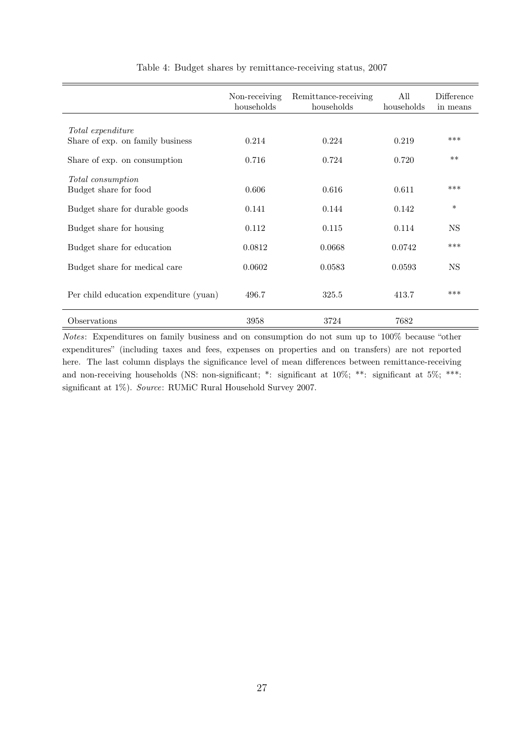|                                                       | Non-receiving<br>households | Remittance-receiving<br>households | All<br>households | Difference<br>in means |
|-------------------------------------------------------|-----------------------------|------------------------------------|-------------------|------------------------|
|                                                       |                             |                                    |                   |                        |
| Total expenditure<br>Share of exp. on family business | 0.214                       | 0.224                              | 0.219             | ***                    |
| Share of exp. on consumption                          | 0.716                       | 0.724                              | 0.720             | $**$                   |
| Total consumption                                     |                             |                                    |                   |                        |
| Budget share for food                                 | 0.606                       | 0.616                              | 0.611             | ***                    |
| Budget share for durable goods                        | 0.141                       | 0.144                              | 0.142             | $\ast$                 |
| Budget share for housing                              | 0.112                       | 0.115                              | 0.114             | $_{\rm NS}$            |
| Budget share for education                            | 0.0812                      | 0.0668                             | 0.0742            | ***                    |
| Budget share for medical care                         | 0.0602                      | 0.0583                             | 0.0593            | NS.                    |
|                                                       |                             |                                    |                   |                        |
| Per child education expenditure (yuan)                | 496.7                       | 325.5                              | 413.7             | ***                    |
| Observations                                          | 3958                        | 3724                               | 7682              |                        |

Table 4: Budget shares by remittance-receiving status, 2007

Notes: Expenditures on family business and on consumption do not sum up to 100% because "other expenditures" (including taxes and fees, expenses on properties and on transfers) are not reported here. The last column displays the significance level of mean differences between remittance-receiving and non-receiving households (NS: non-significant; \*: significant at 10%; \*\*: significant at 5%; \*\*\*: significant at  $1\%$ ). Source: RUMiC Rural Household Survey 2007.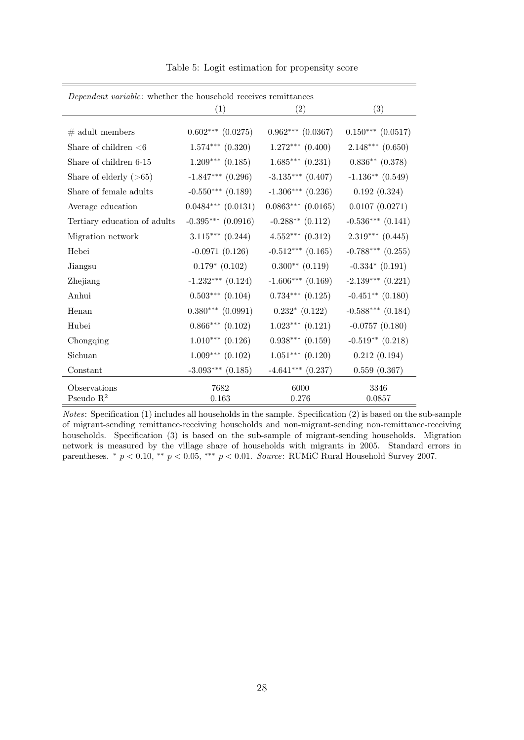| Dependent variable: whether the household receives remittances |                        |                        |                       |  |  |  |  |  |
|----------------------------------------------------------------|------------------------|------------------------|-----------------------|--|--|--|--|--|
|                                                                | (1)                    | (2)                    | (3)                   |  |  |  |  |  |
|                                                                |                        |                        |                       |  |  |  |  |  |
| $\#$ adult members                                             | $0.602***$ $(0.0275)$  | $0.962***$ $(0.0367)$  | $0.150***$ $(0.0517)$ |  |  |  |  |  |
| Share of children $<$ 6                                        | $1.574***$ $(0.320)$   | $1.272***$ $(0.400)$   | $2.148***$ $(0.650)$  |  |  |  |  |  |
| Share of children 6-15                                         | $1.209***$ $(0.185)$   | $1.685***$ $(0.231)$   | $0.836**$ $(0.378)$   |  |  |  |  |  |
| Share of elderly $($ >65)                                      | $-1.847***$ (0.296)    | $-3.135***$ $(0.407)$  | $-1.136**$ (0.549)    |  |  |  |  |  |
| Share of female adults                                         | $-0.550***$ (0.189)    | $-1.306***$ (0.236)    | 0.192(0.324)          |  |  |  |  |  |
| Average education                                              | $0.0484***$ $(0.0131)$ | $0.0863***$ $(0.0165)$ | 0.0107(0.0271)        |  |  |  |  |  |
| Tertiary education of adults                                   | $-0.395***$ (0.0916)   | $-0.288**$ (0.112)     | $-0.536***$ $(0.141)$ |  |  |  |  |  |
| Migration network                                              | $3.115***$ $(0.244)$   | $4.552***$ $(0.312)$   | $2.319***$ $(0.445)$  |  |  |  |  |  |
| Hebei                                                          | $-0.0971(0.126)$       | $-0.512***$ (0.165)    | $-0.788***$ $(0.255)$ |  |  |  |  |  |
| Jiangsu                                                        | $0.179*$ $(0.102)$     | $0.300**$ (0.119)      | $-0.334*$ $(0.191)$   |  |  |  |  |  |
| Zhejiang                                                       | $-1.232***$ (0.124)    | $-1.606***$ (0.169)    | $-2.139***$ $(0.221)$ |  |  |  |  |  |
| Anhui                                                          | $0.503***$ $(0.104)$   | $0.734***$ $(0.125)$   | $-0.451**$ $(0.180)$  |  |  |  |  |  |
| Henan                                                          | $0.380***$ $(0.0991)$  | $0.232*$ $(0.122)$     | $-0.588***$ (0.184)   |  |  |  |  |  |
| Hubei                                                          | $0.866***$ $(0.102)$   | $1.023***$ $(0.121)$   | $-0.0757(0.180)$      |  |  |  |  |  |
| Chongqing                                                      | $1.010***$ $(0.126)$   | $0.938***$ $(0.159)$   | $-0.519**$ (0.218)    |  |  |  |  |  |
| Sichuan                                                        | $1.009***$ $(0.102)$   | $1.051***$ $(0.120)$   | 0.212(0.194)          |  |  |  |  |  |
| Constant                                                       | $-3.093***$ $(0.185)$  | $-4.641***$ (0.237)    | 0.559(0.367)          |  |  |  |  |  |
| Observations                                                   | 7682                   | 6000                   | 3346                  |  |  |  |  |  |
| Pseudo $R^2$                                                   | 0.163                  | 0.276                  | 0.0857                |  |  |  |  |  |

Table 5: Logit estimation for propensity score

Notes: Specification (1) includes all households in the sample. Specification (2) is based on the sub-sample of migrant-sending remittance-receiving households and non-migrant-sending non-remittance-receiving households. Specification (3) is based on the sub-sample of migrant-sending households. Migration network is measured by the village share of households with migrants in 2005. Standard errors in parentheses.  $* p < 0.10, ** p < 0.05, ** p < 0.01$ . Source: RUMiC Rural Household Survey 2007.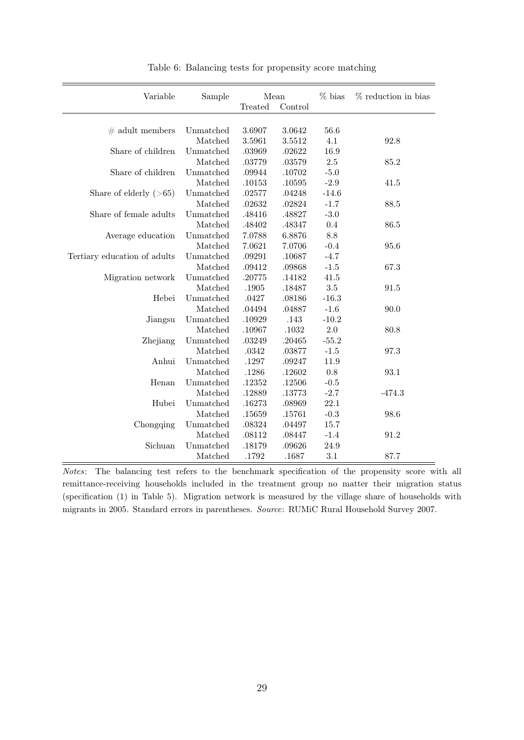| Variable                     | Sample    | Mean      |           | $%$ bias | % reduction in bias |
|------------------------------|-----------|-----------|-----------|----------|---------------------|
|                              |           | Treated   | Control   |          |                     |
|                              |           |           |           |          |                     |
| $#$ adult members            | Unmatched | 3.6907    | 3.0642    | 56.6     |                     |
|                              | Matched   | 3.5961    | 3.5512    | 4.1      | 92.8                |
| Share of children            | Unmatched | .03969    | .02622    | 16.9     |                     |
|                              | Matched   | .03779    | .03579    | $2.5\,$  | 85.2                |
| Share of children            | Unmatched | .09944    | .10702    | $-5.0$   |                     |
|                              | Matched   | .10153    | .10595    | $-2.9$   | 41.5                |
| Share of elderly $(>65)$     | Unmatched | .02577    | .04248    | $-14.6$  |                     |
|                              | Matched   | .02632    | .02824    | $-1.7$   | 88.5                |
| Share of female adults       | Unmatched | .48416    | .48827    | $-3.0$   |                     |
|                              | Matched   | .48402    | .48347    | 0.4      | 86.5                |
| Average education            | Unmatched | 7.0788    | 6.8876    | 8.8      |                     |
|                              | Matched   | 7.0621    | 7.0706    | $-0.4$   | 95.6                |
| Tertiary education of adults | Unmatched | .09291    | .10687    | $-4.7$   |                     |
|                              | Matched   | .09412    | .09868    | $-1.5$   | 67.3                |
| Migration network            | Unmatched | .20775    | .14182    | 41.5     |                     |
|                              | Matched   | .1905     | .18487    | $3.5\,$  | 91.5                |
| Hebei                        | Unmatched | .0427     | .08186    | $-16.3$  |                     |
|                              | Matched   | .04494    | .04887    | $-1.6$   | 90.0                |
| Jiangsu                      | Unmatched | .10929    | .143      | $-10.2$  |                     |
|                              | Matched   | .10967    | $.1032\,$ | $2.0\,$  | 80.8                |
| Zhejiang                     | Unmatched | .03249    | .20465    | $-55.2$  |                     |
|                              | Matched   | $.0342\,$ | .03877    | $-1.5$   | 97.3                |
| Anhui                        | Unmatched | .1297     | .09247    | 11.9     |                     |
|                              | Matched   | .1286     | .12602    | 0.8      | 93.1                |
| Henan                        | Unmatched | .12352    | .12506    | $-0.5$   |                     |
|                              | Matched   | .12889    | .13773    | $-2.7$   | $-474.3$            |
| Hubei                        | Unmatched | .16273    | .08969    | 22.1     |                     |
|                              | Matched   | .15659    | .15761    | $-0.3$   | 98.6                |
| Chongqing                    | Unmatched | .08324    | .04497    | 15.7     |                     |
|                              | Matched   | .08112    | .08447    | $-1.4$   | 91.2                |
| Sichuan                      | Unmatched | .18179    | .09626    | 24.9     |                     |
|                              | Matched   | $.1792\,$ | .1687     | 3.1      | 87.7                |

Table 6: Balancing tests for propensity score matching

Notes: The balancing test refers to the benchmark specification of the propensity score with all remittance-receiving households included in the treatment group no matter their migration status (specification (1) in Table 5). Migration network is measured by the village share of households with migrants in 2005. Standard errors in parentheses. Source: RUMiC Rural Household Survey 2007.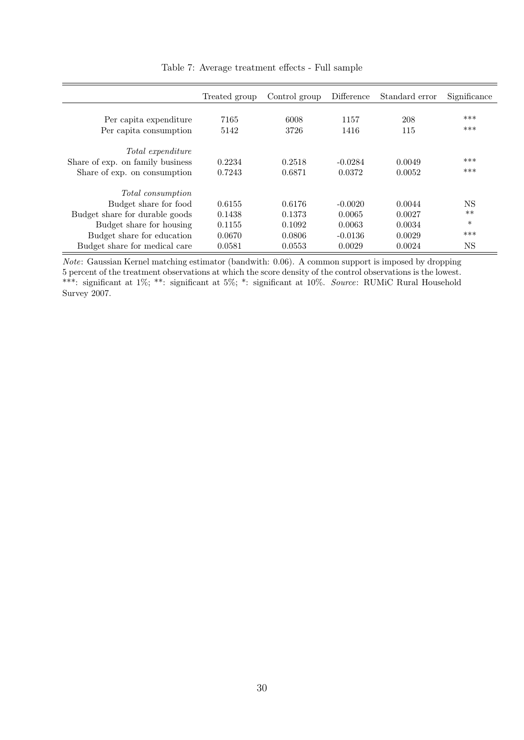|                                  | Treated group | Control group | Difference | Standard error | Significance |
|----------------------------------|---------------|---------------|------------|----------------|--------------|
|                                  |               |               |            |                |              |
| Per capita expenditure           | 7165          | 6008          | 1157       | 208            | ***          |
| Per capita consumption           | 5142          | 3726          | 1416       | 115            | ***          |
| Total expenditure                |               |               |            |                |              |
| Share of exp. on family business | 0.2234        | 0.2518        | $-0.0284$  | 0.0049         | ***          |
| Share of exp. on consumption     | 0.7243        | 0.6871        | 0.0372     | 0.0052         | ***          |
| Total consumption                |               |               |            |                |              |
| Budget share for food            | 0.6155        | 0.6176        | $-0.0020$  | 0.0044         | NS           |
| Budget share for durable goods   | 0.1438        | 0.1373        | 0.0065     | 0.0027         | $**$         |
| Budget share for housing         | 0.1155        | 0.1092        | 0.0063     | 0.0034         | $\ast$       |
| Budget share for education       | 0.0670        | 0.0806        | $-0.0136$  | 0.0029         | ***          |
| Budget share for medical care    | 0.0581        | 0.0553        | 0.0029     | 0.0024         | NS           |

Table 7: Average treatment effects - Full sample

Note: Gaussian Kernel matching estimator (bandwith: 0.06). A common support is imposed by dropping 5 percent of the treatment observations at which the score density of the control observations is the lowest. \*\*\*: significant at 1%; \*\*: significant at 5%; \*: significant at 10%. Source: RUMiC Rural Household Survey 2007.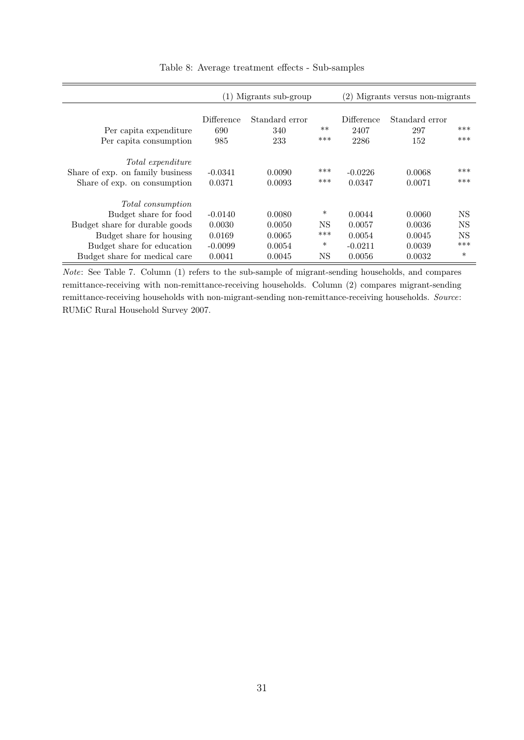|                                                                                                                                                                         |                                                      | Migrants sub-group                             |                                            |                                                   | (2) Migrants versus non-migrants               |                                                 |
|-------------------------------------------------------------------------------------------------------------------------------------------------------------------------|------------------------------------------------------|------------------------------------------------|--------------------------------------------|---------------------------------------------------|------------------------------------------------|-------------------------------------------------|
| Per capita expenditure<br>Per capita consumption                                                                                                                        | Difference<br>690<br>985                             | Standard error<br>340<br>233                   | $**$<br>***                                | Difference<br>2407<br>2286                        | Standard error<br>297<br>152                   | ***<br>***                                      |
| Total expenditure<br>Share of exp. on family business<br>Share of exp. on consumption                                                                                   | $-0.0341$<br>0.0371                                  | 0.0090<br>0.0093                               | ***<br>***                                 | $-0.0226$<br>0.0347                               | 0.0068<br>0.0071                               | $***$<br>$***$                                  |
| Total consumption<br>Budget share for food<br>Budget share for durable goods<br>Budget share for housing<br>Budget share for education<br>Budget share for medical care | $-0.0140$<br>0.0030<br>0.0169<br>$-0.0099$<br>0.0041 | 0.0080<br>0.0050<br>0.0065<br>0.0054<br>0.0045 | $\ast$<br><b>NS</b><br>***<br>$\ast$<br>NS | 0.0044<br>0.0057<br>0.0054<br>$-0.0211$<br>0.0056 | 0.0060<br>0.0036<br>0.0045<br>0.0039<br>0.0032 | NS<br><b>NS</b><br><b>NS</b><br>$***$<br>$\ast$ |

Table 8: Average treatment effects - Sub-samples

Note: See Table 7. Column (1) refers to the sub-sample of migrant-sending households, and compares remittance-receiving with non-remittance-receiving households. Column (2) compares migrant-sending remittance-receiving households with non-migrant-sending non-remittance-receiving households. Source: RUMiC Rural Household Survey 2007.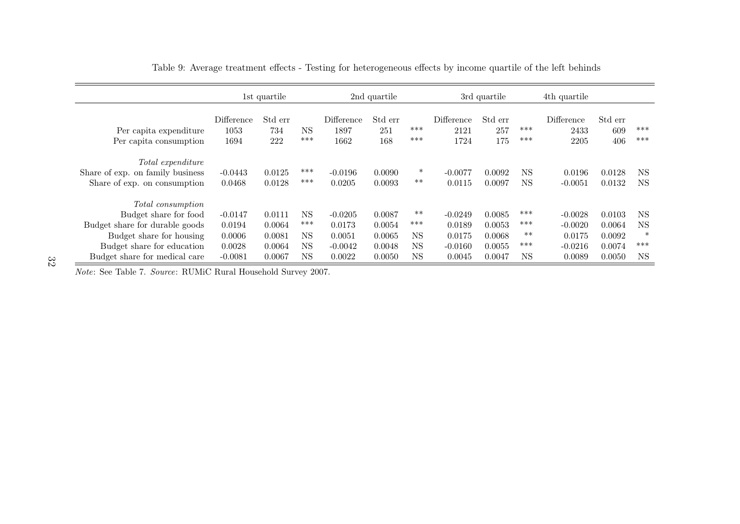|                                                                                                                                                                         | 2nd quartile<br>1st quartile                         |                                                |                                                         | 3rd quartile                                         |                                                |                                                     | 4th quartile                                         |                                                |                                         |                                                         |                                                |                                 |
|-------------------------------------------------------------------------------------------------------------------------------------------------------------------------|------------------------------------------------------|------------------------------------------------|---------------------------------------------------------|------------------------------------------------------|------------------------------------------------|-----------------------------------------------------|------------------------------------------------------|------------------------------------------------|-----------------------------------------|---------------------------------------------------------|------------------------------------------------|---------------------------------|
| Per capita expenditure<br>Per capita consumption                                                                                                                        | Difference<br>1053<br>1694                           | Std err<br>734<br>222                          | NS<br>***                                               | <b>Difference</b><br>1897<br>1662                    | Std err<br>251<br>168                          | ***<br>***                                          | Difference<br>2121<br>1724                           | Std err<br>257<br>175                          | ***<br>***                              | <b>Difference</b><br>2433<br>2205                       | Std err<br>609<br>406                          | ***<br>***                      |
| Total expenditure<br>Share of exp. on family business<br>Share of exp. on consumption                                                                                   | $-0.0443$<br>0.0468                                  | 0.0125<br>0.0128                               | ***<br>***                                              | $-0.0196$<br>0.0205                                  | 0.0090<br>0.0093                               | $\ast$<br>$**$                                      | $-0.0077$<br>0.0115                                  | 0.0092<br>0.0097                               | <b>NS</b><br><b>NS</b>                  | 0.0196<br>$-0.0051$                                     | 0.0128<br>0.0132                               | NS<br>NS                        |
| Total consumption<br>Budget share for food<br>Budget share for durable goods<br>Budget share for housing<br>Budget share for education<br>Budget share for medical care | $-0.0147$<br>0.0194<br>0.0006<br>0.0028<br>$-0.0081$ | 0.0111<br>0.0064<br>0.0081<br>0.0064<br>0.0067 | <b>NS</b><br>***<br><b>NS</b><br><b>NS</b><br><b>NS</b> | $-0.0205$<br>0.0173<br>0.0051<br>$-0.0042$<br>0.0022 | 0.0087<br>0.0054<br>0.0065<br>0.0048<br>0.0050 | $***$<br>***<br><b>NS</b><br><b>NS</b><br><b>NS</b> | $-0.0249$<br>0.0189<br>0.0175<br>$-0.0160$<br>0.0045 | 0.0085<br>0.0053<br>0.0068<br>0.0055<br>0.0047 | ***<br>***<br>$***$<br>***<br><b>NS</b> | $-0.0028$<br>$-0.0020$<br>0.0175<br>$-0.0216$<br>0.0089 | 0.0103<br>0.0064<br>0.0092<br>0.0074<br>0.0050 | NS<br>NS<br>$\ast$<br>***<br>NS |

Table 9: Average treatment effects - Testing for heterogeneous effects by income quartile of the left behinds

Note: See Table 7. Source: RUMiC Rural Household Survey 2007.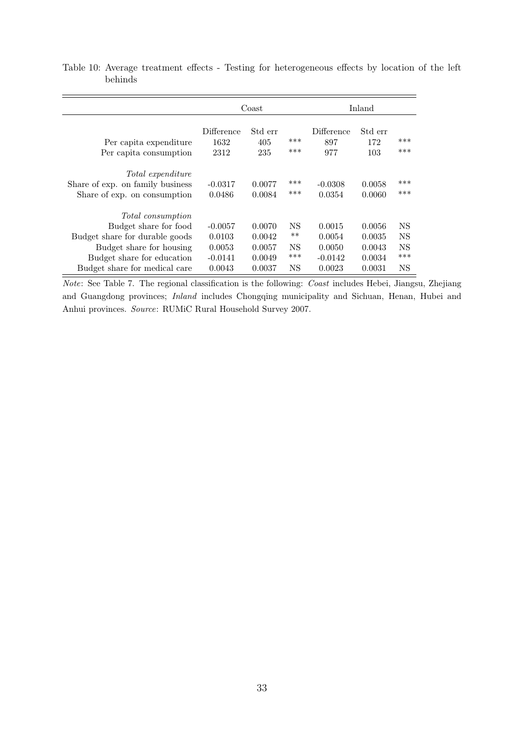|                                                                                              |                               | Coast                      |                        | Inland                        |                            |                               |
|----------------------------------------------------------------------------------------------|-------------------------------|----------------------------|------------------------|-------------------------------|----------------------------|-------------------------------|
| Per capita expenditure<br>Per capita consumption                                             | Difference<br>1632<br>2312    | Std err<br>405<br>235      | ***<br>***             | Difference<br>897<br>977      | Std err<br>172<br>103      | ***<br>***                    |
| <i>Total expenditure</i><br>Share of exp. on family business<br>Share of exp. on consumption | $-0.0317$<br>0.0486           | 0.0077<br>0.0084           | ***<br>***             | $-0.0308$<br>0.0354           | 0.0058<br>0.0060           | ***<br>***                    |
| Total consumption<br>Budget share for food<br>Budget share for durable goods                 | $-0.0057$<br>0.0103           | 0.0070<br>0.0042           | <b>NS</b><br>$**$      | 0.0015<br>0.0054              | 0.0056<br>0.0035           | <b>NS</b><br><b>NS</b>        |
| Budget share for housing<br>Budget share for education<br>Budget share for medical care      | 0.0053<br>$-0.0141$<br>0.0043 | 0.0057<br>0.0049<br>0.0037 | <b>NS</b><br>***<br>NS | 0.0050<br>$-0.0142$<br>0.0023 | 0.0043<br>0.0034<br>0.0031 | <b>NS</b><br>***<br><b>NS</b> |

Table 10: Average treatment effects - Testing for heterogeneous effects by location of the left behinds

Note: See Table 7. The regional classification is the following: Coast includes Hebei, Jiangsu, Zhejiang and Guangdong provinces; Inland includes Chongqing municipality and Sichuan, Henan, Hubei and Anhui provinces. Source: RUMiC Rural Household Survey 2007.